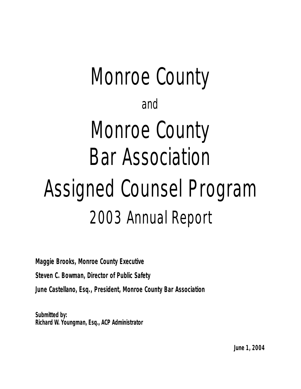# Monroe County and Monroe County Bar Association Assigned Counsel Program 2003 Annual Report

**Maggie Brooks, Monroe County Executive**

**Steven C. Bowman, Director of Public Safety**

**June Castellano, Esq., President, Monroe County Bar Association**

**Submitted by: Richard W. Youngman, Esq., ACP Administrator**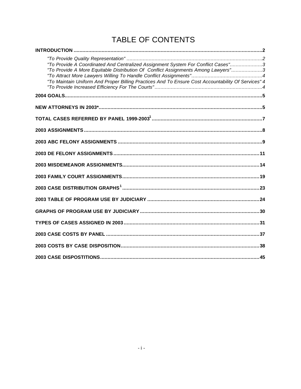## TABLE OF CONTENTS

| "To Provide A Coordinated And Centralized Assignment System For Conflict Cases"3<br>"To Provide A More Equitable Distribution Of Conflict Assignments Among Lawyers"3<br>"To Maintain Uniform And Proper Billing Practices And To Ensure Cost Accountability Of Services" 4 |
|-----------------------------------------------------------------------------------------------------------------------------------------------------------------------------------------------------------------------------------------------------------------------------|
|                                                                                                                                                                                                                                                                             |
|                                                                                                                                                                                                                                                                             |
|                                                                                                                                                                                                                                                                             |
|                                                                                                                                                                                                                                                                             |
|                                                                                                                                                                                                                                                                             |
|                                                                                                                                                                                                                                                                             |
|                                                                                                                                                                                                                                                                             |
|                                                                                                                                                                                                                                                                             |
|                                                                                                                                                                                                                                                                             |
|                                                                                                                                                                                                                                                                             |
|                                                                                                                                                                                                                                                                             |
|                                                                                                                                                                                                                                                                             |
|                                                                                                                                                                                                                                                                             |
|                                                                                                                                                                                                                                                                             |
|                                                                                                                                                                                                                                                                             |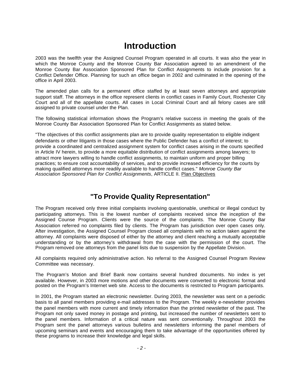### **Introduction**

2003 was the twelfth year the Assigned Counsel Program operated in all courts. It was also the year in which the Monroe County and the Monroe County Bar Association agreed to an amendment of the Monroe County Bar Association Sponsored Plan for Conflict Assignments to include provision for a Conflict Defender Office. Planning for such an office began in 2002 and culminated in the opening of the office in April 2003.

The amended plan calls for a permanent office staffed by at least seven attorneys and appropriate support staff. The attorneys in the office represent clients in conflict cases in Family Court, Rochester City Court and all of the appellate courts. All cases in Local Criminal Court and all felony cases are still assigned to private counsel under the Plan.

The following statistical information shows the Program's relative success in meeting the goals of the Monroe County Bar Association Sponsored Plan for Conflict Assignments as stated below.

"The objectives of this conflict assignments plan are to provide quality representation to eligible indigent defendants or other litigants in those cases where the Public Defender has a conflict of interest; to provide a coordinated and centralized assignment system for conflict cases arising in the courts specified in Article IV herein, to provide a more equitable distribution of conflict assignments among lawyers; to attract more lawyers willing to handle conflict assignments, to maintain uniform and proper billing practices; to ensure cost accountability of services, and to provide increased efficiency for the courts by making qualified attorneys more readily available to handle conflict cases." *Monroe County Bar Association Sponsored Plan for Conflict Assignments*, ARTICLE II. Plan Objectives

#### **"To Provide Quality Representation"**

The Program received only three initial complaints involving questionable, unethical or illegal conduct by participating attorneys. This is the lowest number of complaints received since the inception of the Assigned Counse Program. Clients were the source of the complaints. The Monroe County Bar Association referred no complaints filed by clients. The Program has jurisdiction over open cases only. After investigation, the Assigned Counsel Program closed all complaints with no action taken against the attorney. All complaints were disposed of either by the attorney and client reaching a mutually acceptable understanding or by the attorney's withdrawal from the case with the permission of the court. The Program removed one attorneys from the panel lists due to suspension by the Appellate Division.

All complaints required only administrative action. No referral to the Assigned Counsel Program Review Committee was necessary.

The Program's Motion and Brief Bank now contains several hundred documents. No index is yet available. However, in 2003 more motions and other documents were converted to electronic format and posted on the Program's Internet web site. Access to the documents is restricted to Program participants.

In 2001, the Program started an electronic newsletter. During 2003, the newsletter was sent on a periodic basis to all panel members providing e-mail addresses to the Program. The weekly e-newsletter provides the panel members with more current and timely information than the printed newsletter of the past. The Program not only saved money in postage and printing, but increased the number of newsletters sent to the panel members. Information of a critical nature was sent conventionally. Throughout 2003 the Program sent the panel attorneys various bulletins and newsletters informing the panel members of upcoming seminars and events and encouraging them to take advantage of the opportunities offered by these programs to increase their knowledge and legal skills.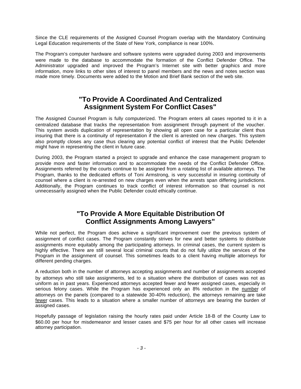Since the CLE requirements of the Assigned Counsel Program overlap with the Mandatory Continuing Legal Education requirements of the State of New York, compliance is near 100%.

The Program's computer hardware and software systems were upgraded during 2003 and improvements were made to the database to accommodate the formation of the Conflict Defender Office. The Administrator upgraded and improved the Program's Internet site with better graphics and more information, more links to other sites of interest to panel members and the news and notes section was made more timely. Documents were added to the Motion and Brief Bank section of the web site.

#### **"To Provide A Coordinated And Centralized Assignment System For Conflict Cases"**

The Assigned Counsel Program is fully computerized. The Program enters all cases reported to it in a centralized database that tracks the representation from assignment through payment of the voucher. This system avoids duplication of representation by showing all open case for a particular client thus insuring that there is a continuity of representation if the client is arrested on new charges. This system also promptly closes any case thus clearing any potential conflict of interest that the Public Defender might have in representing the client in future case.

During 2003, the Program started a project to upgrade and enhance the case management program to provide more and faster information and to accommodate the needs of the Conflict Defender Office. Assignments referred by the courts continue to be assigned from a rotating list of available attorneys. The Program, thanks to the dedicated efforts of Toni Armstrong, is very successful in insuring continuity of counsel where a client is re-arrested on new charges even when the arrests span differing jurisdictions. Additionally, the Program continues to track conflict of interest information so that counsel is not unnecessarily assigned when the Public Defender could ethically continue.

#### **"To Provide A More Equitable Distribution Of Conflict Assignments Among Lawyers"**

While not perfect, the Program does achieve a significant improvement over the previous system of assignment of conflict cases. The Program constantly strives for new and better systems to distribute assignments more equitably among the participating attorneys. In criminal cases, the current system is highly effective. There are still several local criminal courts that do not fully utilize the services of the Program in the assignment of counsel. This sometimes leads to a client having multiple attorneys for different pending charges.

A reduction both in the number of attorneys accepting assignments and number of assignments accepted by attorneys who still take assignments, led to a situation where the distribution of cases was not as uniform as in past years. Experienced attorneys accepted fewer and fewer assigned cases, especially in serious felony cases. While the Program has experienced only an 8% reduction in the number of attorneys on the panels (compared to a statewide 30-40% reduction), the attorneys remaining are take fewer cases. This leads to a situation where a smaller number of attorneys are bearing the burden of assigned cases.

Hopefully passage of legislation raising the hourly rates paid under Article 18-B of the County Law to \$60.00 per hour for misdemeanor and lesser cases and \$75 per hour for all other cases will increase attorney participation.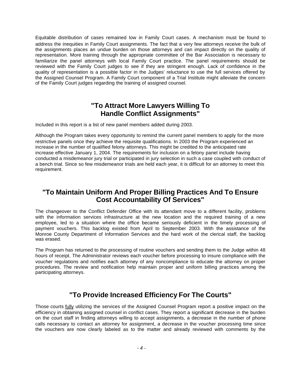Equitable distribution of cases remained low in Family Court cases. A mechanism must be found to address the inequities in Family Court assignments. The fact that a very few attorneys receive the bulk of the assignments places an undue burden on those attorneys and can impact directly on the quality of representation. More training through the appropriate committee of the Bar Association is necessary to familiarize the panel attorneys with local Family Court practice. The panel requirements should be reviewed with the Family Court judges to see if they are stringent enough. Lack of confidence in the quality of representation is a possible factor in the Judges' reluctance to use the full services offered by the Assigned Counsel Program. A Family Court component of a Trial Institute might alleviate the concern of the Family Court judges regarding the training of assigned counsel.

#### **"To Attract More Lawyers Willing To Handle Conflict Assignments"**

Included in this report is a list of new panel members added during 2003.

Although the Program takes every opportunity to remind the current panel members to apply for the more restrictive panels once they achieve the requisite qualifications. In 2003 the Program experienced an increase in the number of qualified felony attorneys. This might be credited to the anticipated rate increase effective January 1, 2004. The requirements for inclusion on a felony panel include having conducted a misdemeanor jury trial or participated in jury selection in such a case coupled with conduct of a bench trial. Since so few misdemeanor trials are held each year, it is difficult for an attorney to meet this requirement.

#### **"To Maintain Uniform And Proper Billing Practices And To Ensure Cost Accountability Of Services"**

The changeover to the Conflict Defender Office with its attendant move to a different facility, problems with the information services infrastructure at the new location and the required training of a new employee, led to a situation where the office became seriously deficient in the timely processing of payment vouchers. This backlog existed from April to September 2003. With the assistance of the Monroe County Department of Information Services and the hard work of the clerical staff, the backlog was erased.

The Program has returned to the processing of routine vouchers and sending them to the Judge within 48 hours of receipt. The Administrator reviews each voucher before processing to insure compliance with the voucher regulations and notifies each attorney of any noncompliance to educate the attorney on proper procedures. The review and notification help maintain proper and uniform billing practices among the participating attorneys.

#### **"To Provide Increased Efficiency For The Courts"**

Those courts fully utilizing the services of the Assigned Counsel Program report a positive impact on the efficiency in obtaining assigned counsel in conflict cases. They report a significant decrease in the burden on the court staff in finding attorneys willing to accept assignments, a decrease in the number of phone calls necessary to contact an attorney for assignment, a decrease in the voucher processing time since the vouchers are now clearly labeled as to the matter and already reviewed with comments by the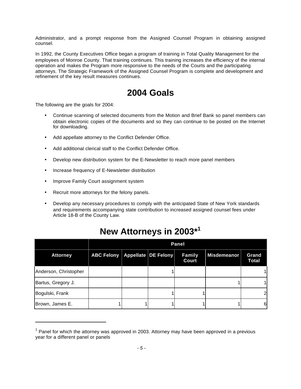Administrator, and a prompt response from the Assigned Counsel Program in obtaining assigned counsel.

In 1992, the County Executives Office began a program of training in Total Quality Management for the employees of Monroe County. That training continues. This training increases the efficiency of the internal operation and makes the Program more responsive to the needs of the Courts and the participating attorneys. The Strategic Framework of the Assigned Counsel Program is complete and development and refinement of the key result measures continues.

### **2004 Goals**

The following are the goals for 2004:

- Continue scanning of selected documents from the Motion and Brief Bank so panel members can obtain electronic copies of the documents and so they can continue to be posted on the Internet for downloading.
- Add appellate attorney to the Conflict Defender Office.
- Add additional clerical staff to the Conflict Defender Office.
- Develop new distribution system for the E-Newsletter to reach more panel members
- Increase frequency of E-Newsletter distribution
- Improve Family Court assignment system
- Recruit more attorneys for the felony panels.
- Develop any necessary procedures to comply with the anticipated State of New York standards and requirements accompanying state contribution to increased assigned counsel fees under Article 18-B of the County Law.

|                       | Panel             |  |                     |                 |             |                       |
|-----------------------|-------------------|--|---------------------|-----------------|-------------|-----------------------|
| <b>Attorney</b>       | <b>ABC Felony</b> |  | Appellate DE Felony | Family<br>Court | Misdemeanor | Grand<br><b>Total</b> |
| Anderson, Christopher |                   |  |                     |                 |             |                       |
| Bartus, Gregory J.    |                   |  |                     |                 |             |                       |
| Bogulski, Frank       |                   |  |                     |                 |             |                       |
| Brown, James E.       |                   |  |                     |                 |             | 61                    |

### **New Attorneys in 2003\*<sup>1</sup>**

 $<sup>1</sup>$  Panel for which the attorney was approved in 2003. Attorney may have been approved in a previous</sup> year for a different panel or panels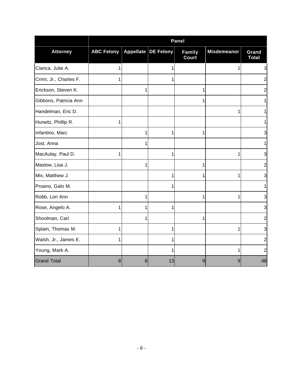|                        | <b>Panel</b>      |                  |                  |                        |                    |                       |
|------------------------|-------------------|------------------|------------------|------------------------|--------------------|-----------------------|
| <b>Attorney</b>        | <b>ABC Felony</b> | <b>Appellate</b> | <b>DE Felony</b> | <b>Family</b><br>Court | <b>Misdemeanor</b> | Grand<br><b>Total</b> |
| Cianca, Julie A.       | 1                 |                  | 1                |                        | 1                  | 3                     |
| Crimi, Jr., Charles F. | 1                 |                  | 1                |                        |                    |                       |
| Erickson, Steven K.    |                   | 1                |                  | 1                      |                    |                       |
| Gibbons, Patricia Ann  |                   |                  |                  | 1                      |                    |                       |
| Handelman, Eric D.     |                   |                  |                  |                        | 1                  |                       |
| Hurwitz, Phillip R.    | 1                 |                  |                  |                        |                    |                       |
| Infantino, Marc        |                   |                  | 1                | 1                      |                    |                       |
| Jost, Anna             |                   |                  |                  |                        |                    |                       |
| MacAulay, Paul D.      | 1                 |                  | 1                |                        | 1                  |                       |
| Maslow, Lisa J.        |                   | 1                |                  | 1                      |                    | 2                     |
| Mix, Matthew J.        |                   |                  | 1                | 1                      | 1                  |                       |
| Proano, Galo M.        |                   |                  | 1                |                        |                    |                       |
| Robb, Lori Ann         |                   | 1                |                  | 1                      | 1                  |                       |
| Rose, Angelo A.        | 1                 | 1                | 1                |                        |                    |                       |
| Shoolman, Carl         |                   |                  |                  | 1                      |                    |                       |
| Splain, Thomas M.      | 1                 |                  | 1                |                        | 1                  | 3                     |
| Walsh, Jr., James E.   | 1                 |                  | 1                |                        |                    | 2                     |
| Young, Mark A.         |                   |                  |                  |                        | 1                  |                       |
| <b>Grand Total</b>     | 8                 | 8                | 13               | 9                      | 9                  | 48                    |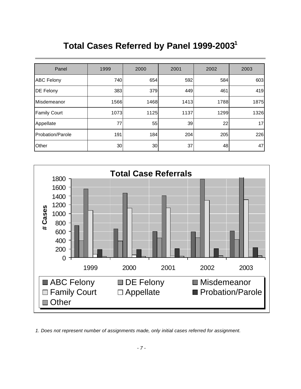## **Total Cases Referred by Panel 1999-2003<sup>1</sup>**

| Panel               | 1999 | 2000 | 2001 | 2002 | 2003 |
|---------------------|------|------|------|------|------|
| <b>ABC Felony</b>   | 740  | 654  | 592  | 584  | 603  |
| <b>DE Felony</b>    | 383  | 379  | 449  | 461  | 419  |
| Misdemeanor         | 1566 | 1468 | 1413 | 1788 | 1875 |
| <b>Family Court</b> | 1073 | 1125 | 1137 | 1299 | 1326 |
| Appellate           | 77   | 55   | 39   | 22   | 17   |
| Probation/Parole    | 191  | 184  | 204  | 205  | 226  |
| Other               | 30   | 30   | 37   | 48   | 47   |



*1. Does not represent number of assignments made, only initial cases referred for assignment.*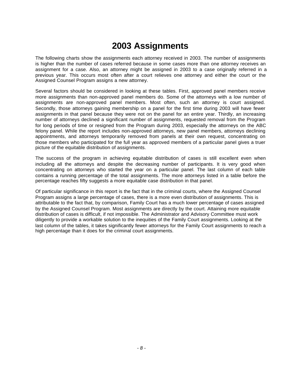## **2003 Assignments**

The following charts show the assignments each attorney received in 2003. The number of assignments is higher than the number of cases referred because in some cases more than one attorney receives an assignment for a case. Also, an attorney might be assigned in 2003 to a case originally referred in a previous year. This occurs most often after a court relieves one attorney and either the court or the Assigned Counsel Program assigns a new attorney.

Several factors should be considered in looking at these tables. First, approved panel members receive more assignments than non-approved panel members do. Some of the attorneys with a low number of assignments are non-approved panel members. Most often, such an attorney is court assigned. Secondly, those attorneys gaining membership on a panel for the first time during 2003 will have fewer assignments in that panel because they were not on the panel for an entire year. Thirdly, an increasing number of attorneys declined a significant number of assignments, requested removal from the Program for long periods of time or resigned from the Program during 2003, especially the attorneys on the ABC felony panel. While the report includes non-approved attorneys, new panel members, attorneys declining appointments, and attorneys temporarily removed from panels at their own request, concentrating on those members who participated for the full year as approved members of a particular panel gives a truer picture of the equitable distribution of assignments.

The success of the program in achieving equitable distribution of cases is still excellent even when including all the attorneys and despite the decreasing number of participants. It is very good when concentrating on attorneys who started the year on a particular panel. The last column of each table contains a running percentage of the total assignments. The more attorneys listed in a table before the percentage reaches fifty suggests a more equitable case distribution in that panel.

Of particular significance in this report is the fact that in the criminal courts, where the Assigned Counsel Program assigns a large percentage of cases, there is a more even distribution of assignments. This is attributable to the fact that, by comparison, Family Court has a much lower percentage of cases assigned by the Assigned Counsel Program. Most assignments are directly by the court. Attaining more equitable distribution of cases is difficult, if not impossible. The Administrator and Advisory Committee must work diligently to provide a workable solution to the inequities of the Family Court assignments. Looking at the last column of the tables, it takes significantly fewer attorneys for the Family Court assignments to reach a high percentage than it does for the criminal court assignments.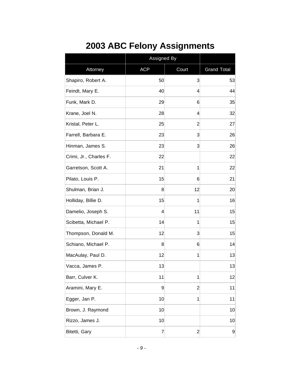| <b>2003 ABC Felony Assignments</b> |  |
|------------------------------------|--|
|------------------------------------|--|

|                        | Assigned By |                |                    |
|------------------------|-------------|----------------|--------------------|
| Attorney               | <b>ACP</b>  | Court          | <b>Grand Total</b> |
| Shapiro, Robert A.     | 50          | 3              | 53                 |
| Feindt, Mary E.        | 40          | 4              | 44                 |
| Funk, Mark D.          | 29          | 6              | 35                 |
| Krane, Joel N.         | 28          | 4              | 32                 |
| Kristal, Peter L.      | 25          | $\overline{2}$ | 27                 |
| Farrell, Barbara E.    | 23          | 3              | 26                 |
| Hinman, James S.       | 23          | 3              | 26                 |
| Crimi, Jr., Charles F. | 22          |                | 22                 |
| Garretson, Scott A.    | 21          | 1              | 22                 |
| Pilato, Louis P.       | 15          | 6              | 21                 |
| Shulman, Brian J.      | 8           | 12             | 20                 |
| Holliday, Billie D.    | 15          | 1              | 16                 |
| Damelio, Joseph S.     | 4           | 11             | 15                 |
| Scibetta, Michael P.   | 14          | 1              | 15                 |
| Thompson, Donald M.    | 12          | 3              | 15                 |
| Schiano, Michael P.    | 8           | 6              | 14                 |
| MacAulay, Paul D.      | 12          | 1              | 13                 |
| Vacca, James P.        | 13          |                | 13                 |
| Barr, Culver K.        | 11          | 1              | 12                 |
| Aramini, Mary E.       | 9           | $\overline{2}$ | 11                 |
| Egger, Jan P.          | 10          | 1              | 11                 |
| Brown, J. Raymond      | 10          |                | 10                 |
| Rizzo, James J.        | 10          |                | 10                 |
| Bitetti, Gary          | 7           | $\overline{c}$ | $\overline{9}$     |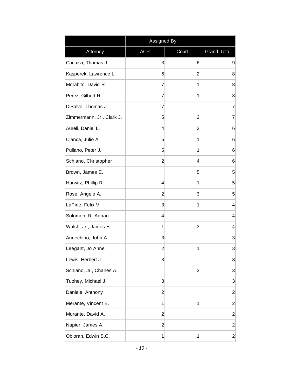|                           | Assigned By    |                |                    |
|---------------------------|----------------|----------------|--------------------|
| Attorney                  | <b>ACP</b>     | Court          | <b>Grand Total</b> |
| Cocuzzi, Thomas J.        | 3              | 6              | 9                  |
| Kasperek, Lawrence L.     | 6              | 2              | 8                  |
| Morabito, David R.        | 7              | 1              | 8                  |
| Perez, Gilbert R.         | 7              | 1              | 8                  |
| DiSalvo, Thomas J.        | 7              |                | 7                  |
| Zimmermann, Jr., Clark J. | 5              | $\overline{2}$ | $\overline{7}$     |
| Aureli, Daniel L.         | 4              | $\overline{2}$ | 6                  |
| Cianca, Julie A.          | 5              | 1              | 6                  |
| Pullano, Peter J.         | 5              | 1              | 6                  |
| Schiano, Christopher      | $\overline{2}$ | 4              | 6                  |
| Brown, James E.           |                | 5              | 5                  |
| Hurwitz, Phillip R.       | 4              | 1              | 5                  |
| Rose, Angelo A.           | $\overline{2}$ | 3              | 5                  |
| LaPine, Felix V.          | 3              | 1              | 4                  |
| Solomon, R. Adrian        | 4              |                | 4                  |
| Walsh, Jr., James E.      | 1              | 3              | $\overline{4}$     |
| Annechino, John A.        | 3              |                | 3                  |
| Leegant, Jo Anne          | $\overline{2}$ | 1              | 3                  |
| Lewis, Herbert J.         | 3              |                | 3                  |
| Schiano, Jr., Charles A.  |                | 3              | 3                  |
| Tuohey, Michael J.        | $\mathbf{3}$   |                | 3                  |
| Daniele, Anthony          | 2              |                | $\overline{2}$     |
| Merante, Vincent E.       | 1              | 1              | $\overline{2}$     |
| Murante, David A.         | $\overline{2}$ |                | $\overline{2}$     |
| Napier, James A.          | $\overline{2}$ |                | $\overline{2}$     |
| Obiorah, Edwin S.C.       | 1              | 1              | $\overline{2}$     |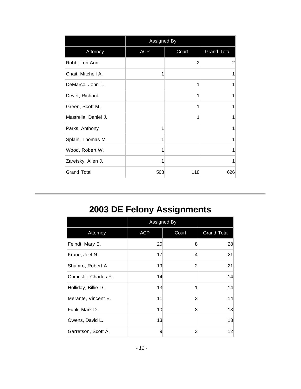|                      | Assigned By |       |                    |
|----------------------|-------------|-------|--------------------|
| Attorney             | <b>ACP</b>  | Court | <b>Grand Total</b> |
| Robb, Lori Ann       |             | 2     | 2                  |
| Chait, Mitchell A.   | 1           |       | 1                  |
| DeMarco, John L.     |             | 1     | 1                  |
| Dever, Richard       |             | 1     | 1                  |
| Green, Scott M.      |             | 1     | 1                  |
| Mastrella, Daniel J. |             | 1     | 1                  |
| Parks, Anthony       | 1           |       | 1                  |
| Splain, Thomas M.    | 1           |       | 1                  |
| Wood, Robert W.      | 1           |       | 1                  |
| Zaretsky, Allen J.   | 1           |       | 1                  |
| <b>Grand Total</b>   | 508         | 118   | 626                |

## **2003 DE Felony Assignments**

|                        | Assigned By     |       |                    |
|------------------------|-----------------|-------|--------------------|
| Attorney               | <b>ACP</b>      | Court | <b>Grand Total</b> |
| Feindt, Mary E.        | 20 <sup>°</sup> | 8     | 28                 |
| Krane, Joel N.         | 17              | 4     | 21                 |
| Shapiro, Robert A.     | 19              | 2     | 21                 |
| Crimi, Jr., Charles F. | 14              |       | 14                 |
| Holliday, Billie D.    | 13              | 1     | 14                 |
| Merante, Vincent E.    | 11              | 3     | 14                 |
| Funk, Mark D.          | 10 <sup>1</sup> | 3     | 13                 |
| Owens, David L.        | 13              |       | 13                 |
| Garretson, Scott A.    | 9               | 3     | 12                 |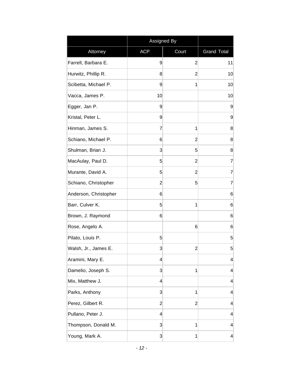|                       | Assigned By             |                |                         |
|-----------------------|-------------------------|----------------|-------------------------|
| Attorney              | <b>ACP</b>              | Court          | <b>Grand Total</b>      |
| Farrell, Barbara E.   | 9                       | 2              | 11                      |
| Hurwitz, Phillip R.   | 8                       | $\overline{2}$ | 10                      |
| Scibetta, Michael P.  | 9                       | 1              | 10                      |
| Vacca, James P.       | 10                      |                | 10                      |
| Egger, Jan P.         | 9                       |                | 9                       |
| Kristal, Peter L.     | 9                       |                | 9                       |
| Hinman, James S.      | 7                       | 1              | 8                       |
| Schiano, Michael P.   | 6                       | 2              | 8                       |
| Shulman, Brian J.     | 3                       | 5              | 8                       |
| MacAulay, Paul D.     | 5                       | $\overline{c}$ | 7                       |
| Murante, David A.     | 5                       | 2              | 7                       |
| Schiano, Christopher  | $\overline{2}$          | 5              | 7                       |
| Anderson, Christopher | 6                       |                | 6                       |
| Barr, Culver K.       | 5                       | 1              | 6                       |
| Brown, J. Raymond     | 6                       |                | 6                       |
| Rose, Angelo A.       |                         | 6              | 6                       |
| Pilato, Louis P.      | 5                       |                | 5                       |
| Walsh, Jr., James E.  | 3                       | $\overline{c}$ | 5                       |
| Aramini, Mary E.      | 4                       |                | 4                       |
| Damelio, Joseph S.    | $\mathbf{3}$            | 1              | 4                       |
| Mix, Matthew J.       | 4                       |                | 4                       |
| Parks, Anthony        | 3                       | 1              | 4                       |
| Perez, Gilbert R.     | $\overline{2}$          | $\overline{2}$ | 4                       |
| Pullano, Peter J.     | $\overline{\mathbf{r}}$ |                | 4                       |
| Thompson, Donald M.   | 3                       | 1              | 4                       |
| Young, Mark A.        | $\mathbf{3}$            | 1              | $\overline{\mathbf{r}}$ |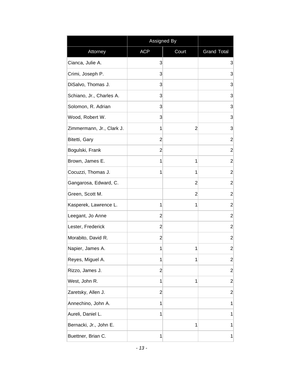|                           | Assigned By    |                |                    |
|---------------------------|----------------|----------------|--------------------|
| Attorney                  | <b>ACP</b>     | Court          | <b>Grand Total</b> |
| Cianca, Julie A.          | 3              |                | 3                  |
| Crimi, Joseph P.          | 3              |                | 3                  |
| DiSalvo, Thomas J.        | 3              |                | 3                  |
| Schiano, Jr., Charles A.  | 3              |                | 3                  |
| Solomon, R. Adrian        | 3              |                | 3                  |
| Wood, Robert W.           | 3              |                | 3                  |
| Zimmermann, Jr., Clark J. | 1              | $\overline{2}$ | 3                  |
| Bitetti, Gary             | 2              |                | $\overline{2}$     |
| Bogulski, Frank           | 2              |                | $\overline{2}$     |
| Brown, James E.           | 1              | 1              | $\overline{c}$     |
| Cocuzzi, Thomas J.        | 1              | 1              | $\overline{2}$     |
| Gangarosa, Edward, C.     |                | 2              | $\overline{2}$     |
| Green, Scott M.           |                | $\overline{2}$ | $\overline{2}$     |
| Kasperek, Lawrence L.     | 1              | 1              | $\overline{2}$     |
| Leegant, Jo Anne          | 2              |                | $\overline{c}$     |
| Lester, Frederick         | 2              |                | $\overline{2}$     |
| Morabito, David R.        | 2              |                | $\overline{c}$     |
| Napier, James A.          | 1              | 1              | $\overline{c}$     |
| Reyes, Miguel A.          | 1              | 1              | $\overline{2}$     |
| Rizzo, James J.           | $\overline{2}$ |                | $\overline{c}$     |
| West, John R.             | 1              | 1              | $\overline{2}$     |
| Zaretsky, Allen J.        | $\overline{2}$ |                | $\overline{c}$     |
| Annechino, John A.        | 1              |                | 1                  |
| Aureli, Daniel L.         | 1              |                | 1                  |
| Bernacki, Jr., John E.    |                | 1              | 1                  |
| Buettner, Brian C.        | 1              |                | 1                  |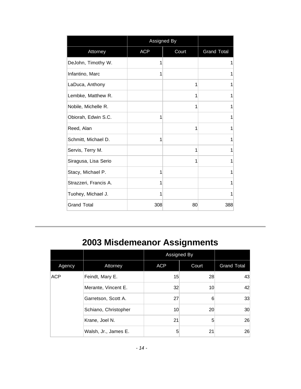|                       | Assigned By |       |                    |
|-----------------------|-------------|-------|--------------------|
| Attorney              | <b>ACP</b>  | Court | <b>Grand Total</b> |
| DeJohn, Timothy W.    | 1           |       | 1                  |
| Infantino, Marc       | 1           |       | 1                  |
| LaDuca, Anthony       |             | 1     | 1                  |
| Lembke, Matthew R.    |             | 1     | 1                  |
| Nobile, Michelle R.   |             | 1     | 1                  |
| Obiorah, Edwin S.C.   | 1           |       | 1                  |
| Reed, Alan            |             | 1     | 1                  |
| Schmitt, Michael D.   | 1           |       | 1                  |
| Servis, Terry M.      |             | 1     | 1                  |
| Siragusa, Lisa Serio  |             | 1     | 1                  |
| Stacy, Michael P.     | 1           |       | 1                  |
| Strazzeri, Francis A. | 1           |       | 1                  |
| Tuohey, Michael J.    | 1           |       | 1                  |
| <b>Grand Total</b>    | 308         | 80    | 388                |

# **2003 Misdemeanor Assignments**

|            |                      | Assigned By |       |                    |
|------------|----------------------|-------------|-------|--------------------|
| Agency     | Attorney             | <b>ACP</b>  | Court | <b>Grand Total</b> |
| <b>ACP</b> | Feindt, Mary E.      | 15          | 28    | 43                 |
|            | Merante, Vincent E.  | 32          | 10    | 42                 |
|            | Garretson, Scott A.  | 27          | 6     | 33                 |
|            | Schiano, Christopher | 10          | 20    | 30                 |
|            | Krane, Joel N.       | 21          | 5     | 26                 |
|            | Walsh, Jr., James E. | 5           | 21    | 26                 |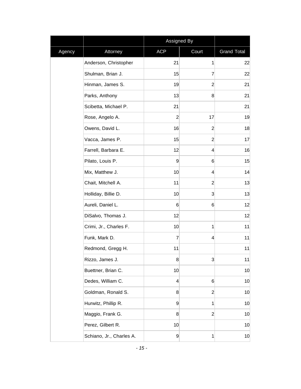|        |                          | Assigned By    |                |                    |
|--------|--------------------------|----------------|----------------|--------------------|
| Agency | Attorney                 | <b>ACP</b>     | Court          | <b>Grand Total</b> |
|        | Anderson, Christopher    | 21             | 1              | 22                 |
|        | Shulman, Brian J.        | 15             | 7              | 22                 |
|        | Hinman, James S.         | 19             | $\overline{2}$ | 21                 |
|        | Parks, Anthony           | 13             | 8              | 21                 |
|        | Scibetta, Michael P.     | 21             |                | 21                 |
|        | Rose, Angelo A.          | $\overline{2}$ | 17             | 19                 |
|        | Owens, David L.          | 16             | $\overline{2}$ | 18                 |
|        | Vacca, James P.          | 15             | $\overline{2}$ | 17                 |
|        | Farrell, Barbara E.      | 12             | 4              | 16                 |
|        | Pilato, Louis P.         | $\overline{9}$ | 6              | 15                 |
|        | Mix, Matthew J.          | 10             | 4              | 14                 |
|        | Chait, Mitchell A.       | 11             | $\overline{2}$ | 13                 |
|        | Holliday, Billie D.      | 10             | $\overline{3}$ | 13                 |
|        | Aureli, Daniel L.        | 6              | $6\phantom{1}$ | 12                 |
|        | DiSalvo, Thomas J.       | 12             |                | 12                 |
|        | Crimi, Jr., Charles F.   | 10             | 1              | 11                 |
|        | Funk, Mark D.            | 7              | 4              | 11                 |
|        | Redmond, Gregg H.        | 11             |                | 11                 |
|        | Rizzo, James J.          | 8              | 3              | 11                 |
|        | Buettner, Brian C.       | 10             |                | 10                 |
|        | Dedes, William C.        | 4              | $6\phantom{1}$ | 10                 |
|        | Goldman, Ronald S.       | 8              | $\overline{2}$ | 10                 |
|        | Hurwitz, Phillip R.      | $\overline{9}$ | 1              | 10                 |
|        | Maggio, Frank G.         | 8              | $\overline{2}$ | 10                 |
|        | Perez, Gilbert R.        | 10             |                | 10                 |
|        | Schiano, Jr., Charles A. | $\overline{9}$ | 1              | 10                 |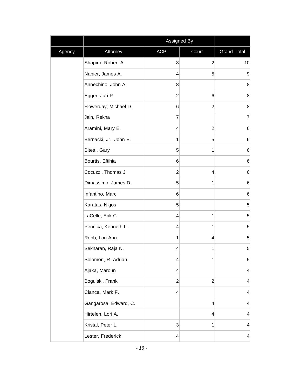|        |                        | Assigned By     |                |                         |
|--------|------------------------|-----------------|----------------|-------------------------|
| Agency | Attorney               | <b>ACP</b>      | Court          | <b>Grand Total</b>      |
|        | Shapiro, Robert A.     | 8               | $\overline{2}$ | 10                      |
|        | Napier, James A.       | $\vert 4 \vert$ | 5              | 9                       |
|        | Annechino, John A.     | 8               |                | 8                       |
|        | Egger, Jan P.          | $\overline{2}$  | 6              | 8                       |
|        | Flowerday, Michael D.  | 6               | $\overline{2}$ | 8                       |
|        | Jain, Rekha            | 7               |                | $\overline{7}$          |
|        | Aramini, Mary E.       | $\vert 4 \vert$ | $\overline{2}$ | $6\phantom{.}6$         |
|        | Bernacki, Jr., John E. | 1               | 5              | 6                       |
|        | Bitetti, Gary          | 5               | 1              | $6\phantom{.}6$         |
|        | Bourtis, Eftihia       | $6 \mid$        |                | 6                       |
|        | Cocuzzi, Thomas J.     | $\overline{2}$  | 4              | 6                       |
|        | Dimassimo, James D.    | 5 <sup>1</sup>  | 1              | $6\phantom{.}6$         |
|        | Infantino, Marc        | $6 \mid$        |                | 6                       |
|        | Karatas, Nigos         | 5 <sup>1</sup>  |                | 5 <sup>1</sup>          |
|        | LaCelle, Erik C.       | 4               | 1              | 5                       |
|        | Pennica, Kenneth L.    | $\overline{4}$  | 1              | $\overline{5}$          |
|        | Robb, Lori Ann         | 1               | $\overline{4}$ | 5                       |
|        | Sekharan, Raja N.      | 4               | 1              | 5                       |
|        | Solomon, R. Adrian     | 4               | 1              | 5 <sup>5</sup>          |
|        | Ajaka, Maroun          | $\vert 4 \vert$ |                | $\overline{\mathbf{4}}$ |
|        | Bogulski, Frank        | $\mathbf{2}$    | $\overline{2}$ | 4                       |
|        | Cianca, Mark F.        | $\vert 4 \vert$ |                | 4                       |
|        | Gangarosa, Edward, C.  |                 | 4              | $\vert 4 \vert$         |
|        | Hirtelen, Lori A.      |                 | 4              | $\overline{\mathbf{r}}$ |
|        | Kristal, Peter L.      | $\mathbf{3}$    | 1              | 4                       |
|        | Lester, Frederick      | $\vert 4 \vert$ |                | $\vert 4 \vert$         |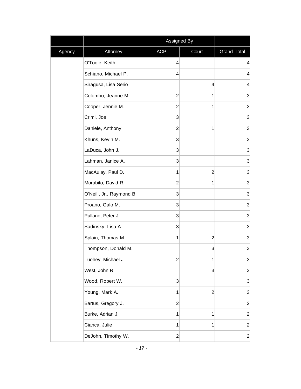|        |                          | Assigned By    |                |                    |
|--------|--------------------------|----------------|----------------|--------------------|
| Agency | Attorney                 | <b>ACP</b>     | Court          | <b>Grand Total</b> |
|        | O'Toole, Keith           | 4              |                | 4                  |
|        | Schiano, Michael P.      | $\overline{4}$ |                | 4                  |
|        | Siragusa, Lisa Serio     |                | 4              | $\overline{4}$     |
|        | Colombo, Jeanne M.       | $\overline{c}$ | 1              | 3                  |
|        | Cooper, Jennie M.        | $\overline{c}$ | 1              | 3                  |
|        | Crimi, Joe               | $\mathbf{3}$   |                | $\overline{3}$     |
|        | Daniele, Anthony         | $\overline{2}$ | 1              | 3                  |
|        | Khuns, Kevin M.          | $\mathbf{3}$   |                | 3                  |
|        | LaDuca, John J.          | 3              |                | 3                  |
|        | Lahman, Janice A.        | $\overline{3}$ |                | $\mathbf{3}$       |
|        | MacAulay, Paul D.        | 1              | $\overline{2}$ | 3                  |
|        | Morabito, David R.       | $\overline{2}$ | 1              | 3                  |
|        | O'Neill, Jr., Raymond B. | $\mathbf{3}$   |                | $\mathbf{3}$       |
|        | Proano, Galo M.          | 3              |                | 3                  |
|        | Pullano, Peter J.        | $\mathbf{3}$   |                | 3                  |
|        | Sadinsky, Lisa A.        | 3              |                | 3                  |
|        | Splain, Thomas M.        | 1              | $\overline{c}$ | $\mathbf{3}$       |
|        | Thompson, Donald M.      |                | 3              | 3                  |
|        | Tuohey, Michael J.       | $\overline{c}$ | 1              | 3                  |
|        | West, John R.            |                | 3              | $\mathbf{3}$       |
|        | Wood, Robert W.          | $\mathbf{3}$   |                | $\mathbf{3}$       |
|        | Young, Mark A.           | 1              | $\overline{c}$ | $\mathbf{3}$       |
|        | Bartus, Gregory J.       | $\overline{2}$ |                | $\overline{2}$     |
|        | Burke, Adrian J.         | 1              | 1              | $\mathbf{2}$       |
|        | Cianca, Julie            | 1              | 1              | $\mathbf{2}$       |
|        | DeJohn, Timothy W.       | $\mathbf{2}$   |                | $\mathbf{2}$       |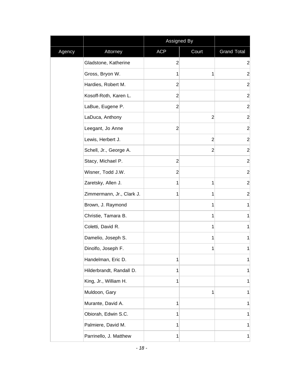|        |                           | Assigned By    |                |                    |
|--------|---------------------------|----------------|----------------|--------------------|
| Agency | Attorney                  | <b>ACP</b>     | Court          | <b>Grand Total</b> |
|        | Gladstone, Katherine      | $\overline{2}$ |                | $\overline{c}$     |
|        | Gross, Bryon W.           | 1              | 1              | $\overline{2}$     |
|        | Hardies, Robert M.        | $\overline{2}$ |                | $\overline{c}$     |
|        | Kosoff-Roth, Karen L.     | $\overline{2}$ |                | $\overline{2}$     |
|        | LaBue, Eugene P.          | $\overline{2}$ |                | $\overline{2}$     |
|        | LaDuca, Anthony           |                | $\overline{2}$ | $\overline{2}$     |
|        | Leegant, Jo Anne          | $\overline{2}$ |                | $\overline{2}$     |
|        | Lewis, Herbert J.         |                | $\overline{2}$ | $\overline{2}$     |
|        | Schell, Jr., George A.    |                | $\overline{2}$ | $\overline{2}$     |
|        | Stacy, Michael P.         | $\overline{2}$ |                | $\overline{2}$     |
|        | Wisner, Todd J.W.         | $\overline{2}$ |                | $\overline{c}$     |
|        | Zaretsky, Allen J.        | 1              | 1              | $\overline{2}$     |
|        | Zimmermann, Jr., Clark J. | 1              | 1              | $\overline{2}$     |
|        | Brown, J. Raymond         |                | 1              | $\mathbf 1$        |
|        | Christie, Tamara B.       |                | 1              | 1                  |
|        | Coletti, David R.         |                | $\mathbf 1$    | 1                  |
|        | Damelio, Joseph S.        |                | $\mathbf{1}$   | 1                  |
|        | Dinolfo, Joseph F.        |                | 1              | 1                  |
|        | Handelman, Eric D.        | 1              |                | 1                  |
|        | Hilderbrandt, Randall D.  | 1              |                | 1                  |
|        | King, Jr., William H.     | 1              |                | 1                  |
|        | Muldoon, Gary             |                | 1              | 1                  |
|        | Murante, David A.         | 1              |                | 1                  |
|        | Obiorah, Edwin S.C.       | 1              |                | 1                  |
|        | Palmiere, David M.        | 1              |                | 1                  |
|        | Parrinello, J. Matthew    | 1              |                | 1                  |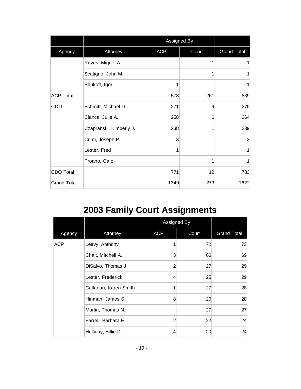|                    |                         |            | Assigned By |                    |
|--------------------|-------------------------|------------|-------------|--------------------|
| Agency<br>Attorney |                         | <b>ACP</b> | Court       | <b>Grand Total</b> |
|                    | Reyes, Miguel A.        |            | 1           |                    |
|                    | Scatigno, John M.       |            | 1           | 1                  |
|                    | Shukoff, Igor           | 1          |             | 1                  |
| <b>ACP Total</b>   |                         | 578        | 261         | 839                |
| CDO                | Schmitt, Michael D.     | 271        | 4           | 275                |
|                    | Cianca, Julie A.        | 258        | 6           | 264                |
|                    | Czapranski, Kimberly J. | 238        | 1           | 239                |
|                    | Crimi, Joseph P.        | 3          |             | 3                  |
|                    | Lester, Fred            | 1          |             | 1                  |
|                    | Proano, Galo            |            | 1           | 1                  |
| <b>CDO Total</b>   |                         | 771        | 12          | 783                |
| <b>Grand Total</b> |                         | 1349       | 273         | 1622               |

## **2003 Family Court Assignments**

|            |                       |                | Assigned By     |                    |
|------------|-----------------------|----------------|-----------------|--------------------|
| Agency     | Attorney              | <b>ACP</b>     | Court           | <b>Grand Total</b> |
| <b>ACP</b> | Leavy, Anthony        | 1              | 72              | 73                 |
|            | Chait, Mitchell A.    | 3              | 66              | 69                 |
|            | DiSalvo, Thomas J.    | $\overline{2}$ | 27              | 29                 |
|            | Lester, Frederick     | 4              | 25              | 29                 |
|            | Callanan, Karen Smith | 1              | 27              | 28                 |
|            | Hinman, James S.      | 8              | 20 <sup>°</sup> | 28                 |
|            | Martin, Thomas N.     |                | 27              | 27                 |
|            | Farrell, Barbara E.   | $\overline{2}$ | 22              | 24                 |
|            | Holliday, Billie D.   | 4              | 20 <sup>°</sup> | 24                 |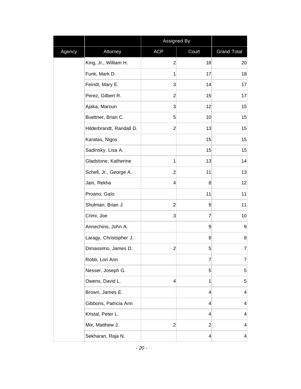|        |                          | Assigned By    |                 |                         |
|--------|--------------------------|----------------|-----------------|-------------------------|
| Agency | Attorney                 | <b>ACP</b>     | Court           | <b>Grand Total</b>      |
|        | King, Jr., William H.    | $\overline{2}$ | 18              | 20                      |
|        | Funk, Mark D.            | 1              | 17              | 18                      |
|        | Feindt, Mary E.          | 3              | 14              | 17                      |
|        | Perez, Gilbert R.        | $\overline{2}$ | 15              | 17                      |
|        | Ajaka, Maroun            | 3              | 12              | 15                      |
|        | Buettner, Brian C.       | 5 <sup>5</sup> | 10              | 15                      |
|        | Hilderbrandt, Randall D. | $\overline{2}$ | 13              | 15                      |
|        | Karatas, Nigos           |                | 15              | 15                      |
|        | Sadinsky, Lisa A.        |                | 15              | 15                      |
|        | Gladstone, Katherine     | 1              | 13              | 14                      |
|        | Schell, Jr., George A.   | $\overline{2}$ | 11              | 13                      |
|        | Jain, Rekha              | 4              | 8               | 12                      |
|        | Proano, Galo             |                | 11              | 11                      |
|        | Shulman, Brian J.        | $\overline{2}$ | $\overline{9}$  | 11                      |
|        | Crimi, Joe               | 3              | 7               | 10                      |
|        | Annechino, John A.       |                | $\overline{9}$  | 9                       |
|        | Laragy, Christopher J.   |                | 8 <sup>°</sup>  | 8                       |
|        | Dimassimo, James D.      | $\overline{c}$ | $\sqrt{5}$      | 7                       |
|        | Robb, Lori Ann           |                | 7               | 7                       |
|        | Nesser, Joseph G.        |                | $\mathbf{5}$    | 5                       |
|        | Owens, David L.          | 4              | 1               | 5                       |
|        | Brown, James E.          |                | $\vert 4 \vert$ | 4                       |
|        | Gibbons, Patricia Ann    |                | $\vert 4 \vert$ | $\overline{\mathbf{r}}$ |
|        | Kristal, Peter L.        |                | $\vert 4 \vert$ | $\overline{\mathbf{r}}$ |
|        | Mix, Matthew J.          | $\overline{2}$ | $\mathbf{2}$    | $\overline{4}$          |
|        | Sekharan, Raja N.        |                | $\vert 4 \vert$ | 4                       |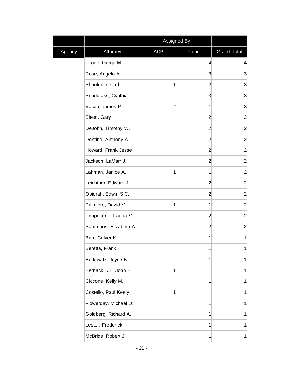|        |                        | Assigned By    |                |                    |
|--------|------------------------|----------------|----------------|--------------------|
| Agency | Attorney               | <b>ACP</b>     | Court          | <b>Grand Total</b> |
|        | Tirone, Gregg M.       |                | $\overline{4}$ | $\overline{4}$     |
|        | Rose, Angelo A.        |                | 3              | 3                  |
|        | Shoolman, Carl         | 1              | $\overline{2}$ | 3                  |
|        | Snodgrass, Cynthia L.  |                | 3              | 3                  |
|        | Vacca, James P.        | $\overline{2}$ | 1              | 3                  |
|        | Bitetti, Gary          |                | $\overline{2}$ | $\overline{2}$     |
|        | DeJohn, Timothy W.     |                | $\overline{2}$ | $\overline{2}$     |
|        | Dentino, Anthony A.    |                | $\mathbf{2}$   | $\overline{2}$     |
|        | Howard, Frank Jesse    |                | $\overline{2}$ | $\overline{2}$     |
|        | Jackson, LaMarr J.     |                | $\mathbf{2}$   | $\overline{c}$     |
|        | Lahman, Janice A.      | 1              | 1              | $\overline{c}$     |
|        | Leichtner, Edward J.   |                | $\overline{2}$ | $\overline{2}$     |
|        | Obiorah, Edwin S.C.    |                | $\mathbf{2}$   | $\mathbf{2}$       |
|        | Palmiere, David M.     | 1              | 1              | $\overline{2}$     |
|        | Pappalardo, Fauna M.   |                | $\overline{2}$ | $\mathbf{2}$       |
|        | Sammons, Elizabeth A.  |                | $\overline{2}$ | $\mathbf{2}$       |
|        | Barr, Culver K.        |                | 1              | 1                  |
|        | Beretta, Frank         |                | 1              | 1                  |
|        | Berkowitz, Joyce B.    |                | 1              | 1                  |
|        | Bernacki, Jr., John E. | 1              |                | 1                  |
|        | Ciccone, Kelly M.      |                | 1              | 1                  |
|        | Costello, Paul Keely   | 1              |                | 1                  |
|        | Flowerday, Michael D.  |                | $\mathbf{1}$   | 1                  |
|        | Goldberg, Richard A.   |                | 1              | 1                  |
|        | Lester, Frederick      |                | 1              | 1                  |
|        | McBride, Robert J.     |                | 1              | 1                  |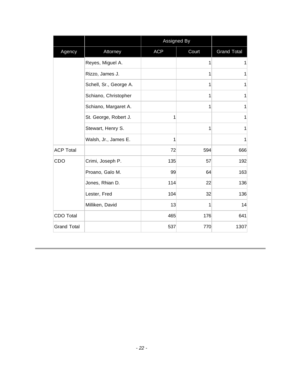|                    |                        |            | <b>Assigned By</b> |                    |
|--------------------|------------------------|------------|--------------------|--------------------|
| Agency             | Attorney               | <b>ACP</b> | Court              | <b>Grand Total</b> |
|                    | Reyes, Miguel A.       |            | 1                  | 1                  |
|                    | Rizzo, James J.        |            | 1                  | $\mathbf{1}$       |
|                    | Schell, Sr., George A. |            | 1                  | 1                  |
|                    | Schiano, Christopher   |            | 1                  | $\mathbf{1}$       |
|                    | Schiano, Margaret A.   |            | 1                  | 1                  |
|                    | St. George, Robert J.  | 1          |                    | 1                  |
|                    | Stewart, Henry S.      |            | 1                  | 1                  |
|                    | Walsh, Jr., James E.   | 1          |                    | 1                  |
| <b>ACP Total</b>   |                        | 72         | 594                | 666                |
| CDO                | Crimi, Joseph P.       | 135        | 57                 | 192                |
|                    | Proano, Galo M.        | 99         | 64                 | 163                |
|                    | Jones, Rhian D.        | 114        | 22                 | 136                |
|                    | Lester, Fred           | 104        | 32                 | 136                |
|                    | Milliken, David        | 13         | 1                  | 14                 |
| <b>CDO Total</b>   |                        | 465        | 176                | 641                |
| <b>Grand Total</b> |                        | 537        | 770                | 1307               |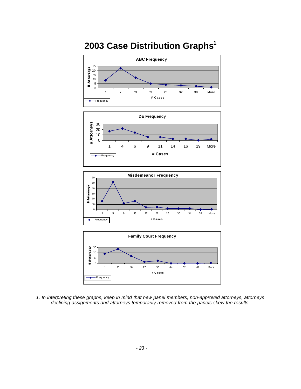# **2003 Case Distribution Graphs<sup>1</sup>**









*1. In interpreting these graphs, keep in mind that new panel members, non-approved attorneys, attorneys declining assignments and attorneys temporarily removed from the panels skew the results.*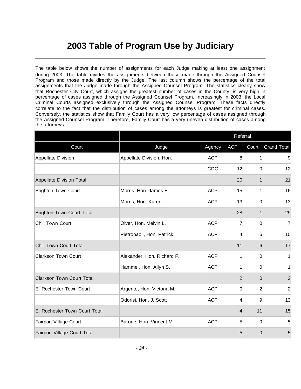## **2003 Table of Program Use by Judiciary**

The table below shows the number of assignments for each Judge making at least one assignment during 2003. The table divides the assignments between those made through the Assigned Counsel Program and those made directly by the Judge. The last column shows the percentage of the total assignments that the Judge made through the Assigned Counsel Program. The statistics clearly show that Rochester City Court, which assigns the greatest number of cases in the County, is very high in percentage of cases assigned through the Assigned Counsel Program. Increasingly in 2003, the Local Criminal Courts assigned exclusively through the Assigned Counsel Program. These facts directly correlate to the fact that the distribution of cases among the attorneys is greatest for criminal cases. Conversely, the statistics show that Family Court has a very low percentage of cases assigned through the Assigned Counsel Program. Therefore, Family Court has a very uneven distribution of cases among the attorneys.

|                                     |                            |            | Referral       |                |                    |  |
|-------------------------------------|----------------------------|------------|----------------|----------------|--------------------|--|
| Court                               | Judge                      | Agency     | <b>ACP</b>     | Court          | <b>Grand Total</b> |  |
| Appellate Division                  | Appellate Division, Hon.   | <b>ACP</b> | 8              | 1              | 9                  |  |
|                                     |                            | CDO        | 12             | $\Omega$       | 12                 |  |
| Appellate Division Total            |                            |            | 20             | 1              | 21                 |  |
| <b>Brighton Town Court</b>          | Morris, Hon. James E.      | <b>ACP</b> | 15             | 1              | 16                 |  |
|                                     | Morris, Hon. Karen         | <b>ACP</b> | 13             | 0              | 13                 |  |
| <b>Brighton Town Court Total</b>    |                            |            | 28             | 1              | 29                 |  |
| Chili Town Court                    | Olver, Hon. Melvin L.      | <b>ACP</b> | 7              | 0              | 7                  |  |
|                                     | Pietropaoli, Hon. Patrick  | <b>ACP</b> | 4              | 6              | 10                 |  |
| Chili Town Court Total              |                            |            | 11             | 6              | 17                 |  |
| <b>Clarkson Town Court</b>          | Alexander, Hon. Richard F. | <b>ACP</b> | 1              | 0              | 1                  |  |
|                                     | Hammel, Hon. Allyn S.      | <b>ACP</b> | 1              | 0              | 1                  |  |
| <b>Clarkson Town Court Total</b>    |                            |            | $\overline{2}$ | $\Omega$       | $\overline{2}$     |  |
| E. Rochester Town Court             | Argento, Hon. Victoria M.  | <b>ACP</b> | 0              | $\overline{2}$ | $\overline{2}$     |  |
|                                     | Odorisi, Hon. J. Scott     | <b>ACP</b> | 4              | 9              | 13                 |  |
| E. Rochester Town Court Total       |                            |            | 4              | 11             | 15                 |  |
| Fairport Village Court              | Barone, Hon. Vincent M.    | <b>ACP</b> | 5              | 0              | 5                  |  |
| <b>Fairport Village Court Total</b> |                            |            | 5              | 0              | 5                  |  |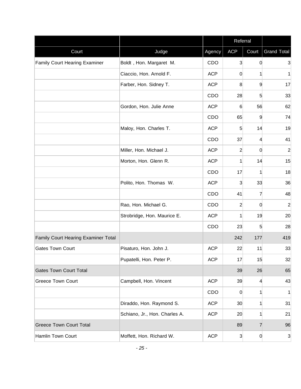|                                      |                               |            | Referral        |                |                    |
|--------------------------------------|-------------------------------|------------|-----------------|----------------|--------------------|
| Court                                | Judge                         | Agency     | <b>ACP</b>      | Court          | <b>Grand Total</b> |
| <b>Family Court Hearing Examiner</b> | Boldt, Hon. Margaret M.       | CDO        | $\overline{3}$  | 0              | 3                  |
|                                      | Ciaccio, Hon. Arnold F.       | <b>ACP</b> | 0               | 1              | 1                  |
|                                      | Farber, Hon. Sidney T.        | <b>ACP</b> | 8               | 9              | 17                 |
|                                      |                               | CDO        | 28              | 5              | 33                 |
|                                      | Gordon, Hon. Julie Anne       | <b>ACP</b> | $6\phantom{1}$  | 56             | 62                 |
|                                      |                               | CDO        | 65              | 9              | 74                 |
|                                      | Maloy, Hon. Charles T.        | <b>ACP</b> | 5               | 14             | 19                 |
|                                      |                               | CDO        | 37              | 4              | 41                 |
|                                      | Miller, Hon. Michael J.       | <b>ACP</b> | $\overline{c}$  | 0              | $\overline{2}$     |
|                                      | Morton, Hon. Glenn R.         | <b>ACP</b> | 1               | 14             | 15                 |
|                                      |                               | CDO        | 17              | $\mathbf{1}$   | 18                 |
|                                      | Polito, Hon. Thomas W.        | <b>ACP</b> | 3               | 33             | 36                 |
|                                      |                               | CDO        | 41              | 7              | 48                 |
|                                      | Rao, Hon. Michael G.          | CDO        | $\overline{2}$  | 0              | $\overline{c}$     |
|                                      | Strobridge, Hon. Maurice E.   | <b>ACP</b> | 1               | 19             | 20                 |
|                                      |                               | CDO        | 23              | 5              | 28                 |
| Family Court Hearing Examiner Total  |                               |            | 242             | 177            | 419                |
| <b>Gates Town Court</b>              | Pisaturo, Hon. John J.        | <b>ACP</b> | 22              | 11             | 33                 |
|                                      | Pupatelli, Hon. Peter P.      | <b>ACP</b> | 17              | 15             | 32                 |
| <b>Gates Town Court Total</b>        |                               |            | 39              | 26             | 65                 |
| <b>Greece Town Court</b>             | Campbell, Hon. Vincent        | <b>ACP</b> | 39              | $\overline{4}$ | 43                 |
|                                      |                               | CDO        | $\overline{0}$  | 1              | 1                  |
|                                      | Diraddo, Hon. Raymond S.      | <b>ACP</b> | 30 <sup>°</sup> | 1              | 31                 |
|                                      | Schiano, Jr., Hon. Charles A. | <b>ACP</b> | 20              | 1              | 21                 |
| <b>Greece Town Court Total</b>       |                               |            | 89              | $\overline{7}$ | 96                 |
| Hamlin Town Court                    | Moffett, Hon. Richard W.      | <b>ACP</b> | $\mathbf{3}$    | 0              | 3                  |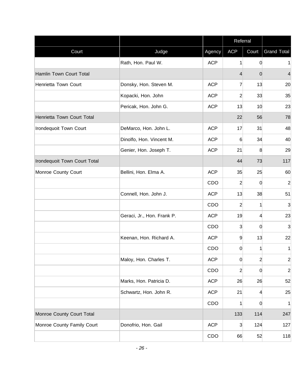|                              |                            |            | Referral       |                |                    |
|------------------------------|----------------------------|------------|----------------|----------------|--------------------|
| Court                        | Judge                      | Agency     | <b>ACP</b>     | Court          | <b>Grand Total</b> |
|                              | Rath, Hon. Paul W.         | <b>ACP</b> | $\mathbf{1}$   | $\overline{0}$ | $\mathbf{1}$       |
| Hamlin Town Court Total      |                            |            | $\overline{4}$ | $\Omega$       | 4                  |
| Henrietta Town Court         | Donsky, Hon. Steven M.     | <b>ACP</b> | 7              | 13             | 20                 |
|                              | Kopacki, Hon. John         | <b>ACP</b> | $\mathbf{2}$   | 33             | 35                 |
|                              | Pericak, Hon. John G.      | <b>ACP</b> | 13             | 10             | 23                 |
| Henrietta Town Court Total   |                            |            | 22             | 56             | 78                 |
| Irondequoit Town Court       | DeMarco, Hon. John L.      | <b>ACP</b> | 17             | 31             | 48                 |
|                              | Dinolfo, Hon. Vincent M.   | <b>ACP</b> | 6              | 34             | 40                 |
|                              | Genier, Hon. Joseph T.     | <b>ACP</b> | 21             | 8              | 29                 |
| Irondequoit Town Court Total |                            |            | 44             | 73             | 117                |
| Monroe County Court          | Bellini, Hon. Elma A.      | <b>ACP</b> | 35             | 25             | 60                 |
|                              |                            | CDO        | $\overline{c}$ | 0              | $\overline{2}$     |
|                              | Connell, Hon. John J.      | <b>ACP</b> | 13             | 38             | 51                 |
|                              |                            | CDO        | $\overline{c}$ | 1              | 3                  |
|                              | Geraci, Jr., Hon. Frank P. | <b>ACP</b> | 19             | 4              | 23                 |
|                              |                            | CDO        | 3              | $\Omega$       | 3                  |
|                              | Keenan, Hon. Richard A.    | <b>ACP</b> | 9              | 13             | 22                 |
|                              |                            | CDO        | 0              |                | $\mathbf{1}$       |
|                              | Maloy, Hon. Charles T.     | <b>ACP</b> | 0              | $\overline{a}$ | $\overline{2}$     |
|                              |                            | CDO        | $\mathbf{2}$   | $\overline{0}$ | $\overline{2}$     |
|                              | Marks, Hon. Patricia D.    | <b>ACP</b> | 26             | 26             | 52                 |
|                              | Schwartz, Hon. John R.     | <b>ACP</b> | 21             | $\overline{4}$ | 25                 |
|                              |                            | CDO        | 1              | $\Omega$       | $\mathbf{1}$       |
| Monroe County Court Total    |                            |            | 133            | 114            | 247                |
| Monroe County Family Court   | Donofrio, Hon. Gail        | <b>ACP</b> | 3              | 124            | 127                |
|                              |                            | CDO        | 66             | 52             | 118                |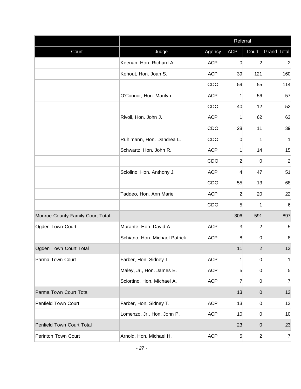|                                  |                               |            | Referral        |                |                    |
|----------------------------------|-------------------------------|------------|-----------------|----------------|--------------------|
| Court                            | Judge                         | Agency     | <b>ACP</b>      | Court          | <b>Grand Total</b> |
|                                  | Keenan, Hon. Richard A.       | <b>ACP</b> | 0               | $\overline{2}$ | $\overline{2}$     |
|                                  | Kohout, Hon. Joan S.          | <b>ACP</b> | 39              | 121            | 160                |
|                                  |                               | CDO        | 59              | 55             | 114                |
|                                  | O'Connor, Hon. Marilyn L.     | <b>ACP</b> | 1               | 56             | 57                 |
|                                  |                               | CDO        | 40              | 12             | 52                 |
|                                  | Rivoli, Hon. John J.          | <b>ACP</b> | 1               | 62             | 63                 |
|                                  |                               | CDO        | 28              | 11             | 39                 |
|                                  | Ruhlmann, Hon. Dandrea L.     | CDO        | $\overline{0}$  | 1              | 1                  |
|                                  | Schwartz, Hon. John R.        | <b>ACP</b> | 1               | 14             | 15                 |
|                                  |                               | CDO        | $\overline{2}$  | 0              | $\overline{2}$     |
|                                  | Sciolino, Hon. Anthony J.     | <b>ACP</b> | $\vert 4 \vert$ | 47             | 51                 |
|                                  |                               | CDO        | 55              | 13             | 68                 |
|                                  | Taddeo, Hon. Ann Marie        | <b>ACP</b> | $\overline{c}$  | 20             | 22                 |
|                                  |                               | CDO        | 5               | 1              | 6                  |
| Monroe County Family Court Total |                               |            | 306             | 591            | 897                |
| Ogden Town Court                 | Murante, Hon. David A.        | <b>ACP</b> | 3               | $\overline{2}$ | 5                  |
|                                  | Schiano, Hon. Michael Patrick | <b>ACP</b> | 8               | 0              | 8                  |
| Ogden Town Court Total           |                               |            | 11              | $\overline{2}$ | 13                 |
| Parma Town Court                 | Farber, Hon. Sidney T.        | <b>ACP</b> | 1               | 0              | 1                  |
|                                  | Maley, Jr., Hon. James E.     | <b>ACP</b> | 5               | 0              | 5                  |
|                                  | Sciortino, Hon. Michael A.    | <b>ACP</b> | $\overline{7}$  | 0              | $\overline{7}$     |
| Parma Town Court Total           |                               |            | 13              | $\overline{0}$ | 13                 |
| Penfield Town Court              | Farber, Hon. Sidney T.        | <b>ACP</b> | 13              | 0              | 13                 |
|                                  | Lomenzo, Jr., Hon. John P.    | <b>ACP</b> | 10              | 0              | 10                 |
| Penfield Town Court Total        |                               |            | 23              | $\mathbf 0$    | 23                 |
| Perinton Town Court              | Arnold, Hon. Michael H.       | <b>ACP</b> | 5               | $\mathbf{2}$   | 7                  |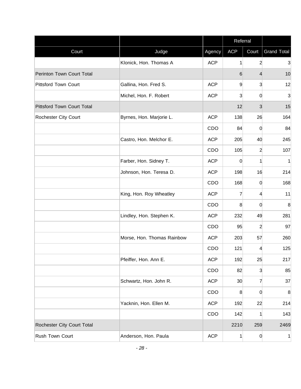|                                   |                            |            | Referral        |                |                    |
|-----------------------------------|----------------------------|------------|-----------------|----------------|--------------------|
| Court                             | Judge                      | Agency     | <b>ACP</b>      | Court          | <b>Grand Total</b> |
|                                   | Klonick, Hon. Thomas A     | <b>ACP</b> | 1               | $\overline{2}$ | 3                  |
| Perinton Town Court Total         |                            |            | 6               | 4              | 10                 |
| Pittsford Town Court              | Gallina, Hon. Fred S.      | <b>ACP</b> | 9               | $\mathbf{3}$   | 12                 |
|                                   | Michel, Hon. F. Robert     | <b>ACP</b> | 3               | 0              | 3                  |
| <b>Pittsford Town Court Total</b> |                            |            | 12              | 3              | 15                 |
| Rochester City Court              | Byrnes, Hon. Marjorie L.   | <b>ACP</b> | 138             | 26             | 164                |
|                                   |                            | CDO        | 84              | 0              | 84                 |
|                                   | Castro, Hon. Melchor E.    | <b>ACP</b> | 205             | 40             | 245                |
|                                   |                            | CDO        | 105             | $\overline{2}$ | 107                |
|                                   | Farber, Hon. Sidney T.     | <b>ACP</b> | $\overline{0}$  | 1              | 1                  |
|                                   | Johnson, Hon. Teresa D.    | <b>ACP</b> | 198             | 16             | 214                |
|                                   |                            | CDO        | 168             | 0              | 168                |
|                                   | King, Hon. Roy Wheatley    | <b>ACP</b> | 7               | 4              | 11                 |
|                                   |                            | CDO        | 8               | 0              | 8                  |
|                                   | Lindley, Hon. Stephen K.   | <b>ACP</b> | 232             | 49             | 281                |
|                                   |                            | CDO        | 95              | $\mathbf{2}$   | 97                 |
|                                   | Morse, Hon. Thomas Rainbow | <b>ACP</b> | 203             | 57             | 260                |
|                                   |                            | CDO        | 121             | $\overline{4}$ | 125                |
|                                   | Pfeiffer, Hon. Ann E.      | <b>ACP</b> | 192             | 25             | 217                |
|                                   |                            | CDO        | 82              | 3              | 85                 |
|                                   | Schwartz, Hon. John R.     | <b>ACP</b> | 30 <sub>2</sub> | $\overline{7}$ | 37                 |
|                                   |                            | CDO        | 8 <sup>°</sup>  | 0              | 8                  |
|                                   | Yacknin, Hon. Ellen M.     | <b>ACP</b> | 192             | 22             | 214                |
|                                   |                            | CDO        | 142             | 1              | 143                |
| Rochester City Court Total        |                            |            | 2210            | 259            | 2469               |
| Rush Town Court                   | Anderson, Hon. Paula       | <b>ACP</b> | 1               | $\overline{0}$ | 1                  |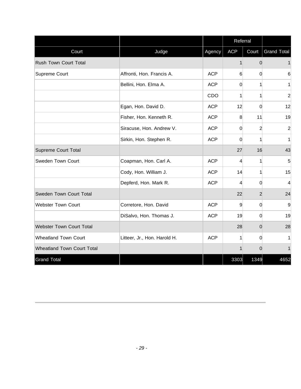|                                   |                              |            | Referral       |                |                    |
|-----------------------------------|------------------------------|------------|----------------|----------------|--------------------|
| Court                             | Judge                        | Agency     | <b>ACP</b>     | Court          | <b>Grand Total</b> |
| Rush Town Court Total             |                              |            | 1              | $\Omega$       | 1                  |
| Supreme Court                     | Affronti, Hon. Francis A.    | <b>ACP</b> | 6              | $\Omega$       | 6                  |
|                                   | Bellini, Hon. Elma A.        | <b>ACP</b> | 0              |                | $\mathbf{1}$       |
|                                   |                              | CDO        | $\mathbf{1}$   | 1              | $\overline{2}$     |
|                                   | Egan, Hon. David D.          | <b>ACP</b> | 12             | $\Omega$       | 12                 |
|                                   | Fisher, Hon. Kenneth R.      | <b>ACP</b> | 8              | 11             | 19                 |
|                                   | Siracuse, Hon. Andrew V.     | <b>ACP</b> | $\overline{0}$ | $\overline{2}$ | $\overline{2}$     |
|                                   | Sirkin, Hon. Stephen R.      | <b>ACP</b> | $\Omega$       |                | $\mathbf{1}$       |
| <b>Supreme Court Total</b>        |                              |            | 27             | 16             | 43                 |
| Sweden Town Court                 | Coapman, Hon. Carl A.        | <b>ACP</b> | 4              | 1              | 5                  |
|                                   | Cody, Hon. William J.        | <b>ACP</b> | 14             |                | 15                 |
|                                   | Depferd, Hon. Mark R.        | <b>ACP</b> | 4              | $\Omega$       | $\overline{4}$     |
| Sweden Town Court Total           |                              |            | 22             | $\overline{2}$ | 24                 |
| <b>Webster Town Court</b>         | Corretore, Hon. David        | <b>ACP</b> | 9              | 0              | 9                  |
|                                   | DiSalvo, Hon. Thomas J.      | <b>ACP</b> | 19             | $\overline{0}$ | 19                 |
| <b>Webster Town Court Total</b>   |                              |            | 28             | $\Omega$       | 28                 |
| <b>Wheatland Town Court</b>       | Litteer, Jr., Hon. Harold H. | <b>ACP</b> | $\mathbf{1}$   | $\Omega$       | $\mathbf{1}$       |
| <b>Wheatland Town Court Total</b> |                              |            | 1              | $\Omega$       | 1                  |
| <b>Grand Total</b>                |                              |            | 3303           | 1349           | 4652               |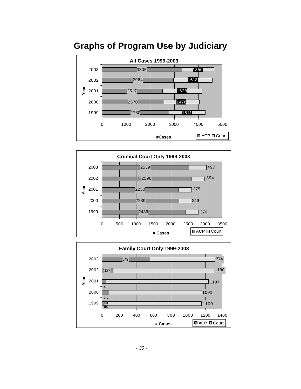

## **Graphs of Program Use by Judiciary**



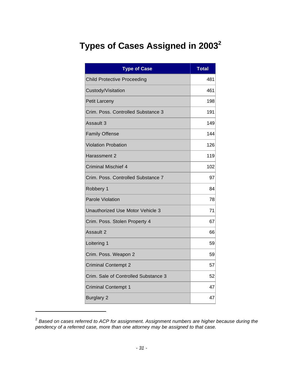# **Types of Cases Assigned in 2003<sup>2</sup>**

| <b>Type of Case</b>                  | <b>Total</b> |
|--------------------------------------|--------------|
| <b>Child Protective Proceeding</b>   | 481          |
| Custody/Visitation                   | 461          |
| Petit Larceny                        | 198          |
| Crim. Poss. Controlled Substance 3   | 191          |
| Assault 3                            | 149          |
| <b>Family Offense</b>                | 144          |
| <b>Violation Probation</b>           | 126          |
| Harassment 2                         | 119          |
| <b>Criminal Mischief 4</b>           | 102          |
| Crim. Poss. Controlled Substance 7   | 97           |
| Robbery 1                            | 84           |
| <b>Parole Violation</b>              | 78           |
| Unauthorized Use Motor Vehicle 3     | 71           |
| Crim. Poss. Stolen Property 4        | 67           |
| Assault 2                            | 66           |
| Loitering 1                          | 59           |
| Crim. Poss. Weapon 2                 | 59           |
| <b>Criminal Contempt 2</b>           | 57           |
| Crim. Sale of Controlled Substance 3 | 52           |
| <b>Criminal Contempt 1</b>           | 47           |
| <b>Burglary 2</b>                    | 47           |

<sup>2</sup> *Based on cases referred to ACP for assignment. Assignment numbers are higher because during the pendency of a referred case, more than one attorney may be assigned to that case.*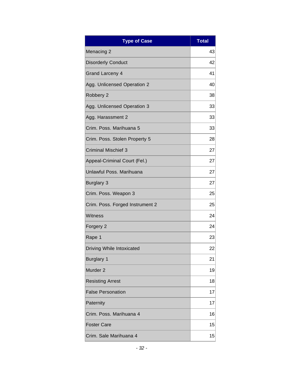| <b>Type of Case</b>             | <b>Total</b> |
|---------------------------------|--------------|
| <b>Menacing 2</b>               | 43           |
| <b>Disorderly Conduct</b>       | 42           |
| <b>Grand Larceny 4</b>          | 41           |
| Agg. Unlicensed Operation 2     | 40           |
| Robbery 2                       | 38           |
| Agg. Unlicensed Operation 3     | 33           |
| Agg. Harassment 2               | 33           |
| Crim. Poss. Marihuana 5         | 33           |
| Crim. Poss. Stolen Property 5   | 28           |
| <b>Criminal Mischief 3</b>      | 27           |
| Appeal-Criminal Court (Fel.)    | 27           |
| Unlawful Poss, Marihuana        | 27           |
| <b>Burglary 3</b>               | 27           |
| Crim. Poss. Weapon 3            | 25           |
| Crim. Poss. Forged Instrument 2 | 25           |
| Witness                         | 24           |
| Forgery 2                       | 24           |
| Rape 1                          | 23           |
| Driving While Intoxicated       | 22           |
| <b>Burglary 1</b>               | 21           |
| Murder <sub>2</sub>             | 19           |
| <b>Resisting Arrest</b>         | 18           |
| <b>False Personation</b>        | 17           |
| Paternity                       | 17           |
| Crim. Poss. Marihuana 4         | 16           |
| <b>Foster Care</b>              | 15           |
| Crim. Sale Marihuana 4          | 15           |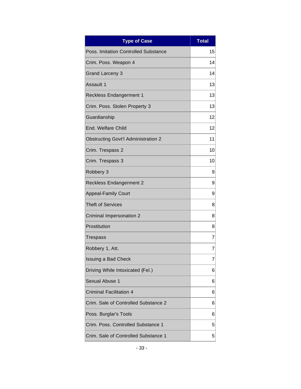| <b>Type of Case</b>                         | <b>Total</b> |
|---------------------------------------------|--------------|
| <b>Poss. Imitation Controlled Substance</b> | 15           |
| Crim. Poss. Weapon 4                        | 14           |
| <b>Grand Larceny 3</b>                      | 14           |
| Assault 1                                   | 13           |
| <b>Reckless Endangerment 1</b>              | 13           |
| Crim. Poss. Stolen Property 3               | 13           |
| Guardianship                                | 12           |
| End. Welfare Child                          | 12           |
| <b>Obstructing Govt'l Administration 2</b>  | 11           |
| Crim. Trespass 2                            | 10           |
| Crim. Trespass 3                            | 10           |
| Robbery 3                                   | 9            |
| <b>Reckless Endangerment 2</b>              | 9            |
| <b>Appeal-Family Court</b>                  | 9            |
| <b>Theft of Services</b>                    | 8            |
| Criminal Impersonation 2                    | 8            |
| Prostitution                                | 8            |
| Trespass                                    | 7            |
| Robbery 1, Att.                             | 7            |
| Issuing a Bad Check                         | 7            |
| Driving While Intoxicated (Fel.)            | 6            |
| Sexual Abuse 1                              | 6            |
| <b>Criminal Facilitation 4</b>              | 6            |
| Crim. Sale of Controlled Substance 2        | 6            |
| Poss. Burglar's Tools                       | 6            |
| Crim. Poss. Controlled Substance 1          | 5            |
| Crim. Sale of Controlled Substance 1        | 5            |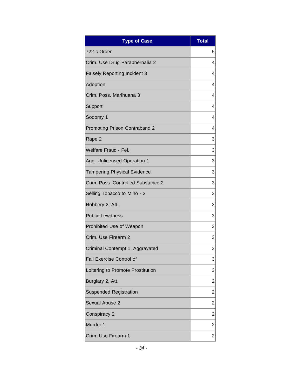| <b>Type of Case</b>                 | <b>Total</b>   |
|-------------------------------------|----------------|
| 722-c Order                         | 5              |
| Crim. Use Drug Paraphernalia 2      | 4              |
| <b>Falsely Reporting Incident 3</b> | 4              |
| Adoption                            | 4              |
| Crim. Poss. Marihuana 3             | 4              |
| Support                             | 4              |
| Sodomy 1                            | 4              |
| Promoting Prison Contraband 2       | 4              |
| Rape 2                              | 3              |
| Welfare Fraud - Fel.                | 3              |
| Agg. Unlicensed Operation 1         | 3              |
| <b>Tampering Physical Evidence</b>  | 3              |
| Crim. Poss. Controlled Substance 2  | 3              |
| Selling Tobacco to Mino - 2         | 3              |
| Robbery 2, Att.                     | 3              |
| <b>Public Lewdness</b>              | 3              |
| Prohibited Use of Weapon            | 3              |
| Crim. Use Firearm 2                 | 3              |
| Criminal Contempt 1, Aggravated     | 3              |
| Fail Exercise Control of            | 3              |
| Loitering to Promote Prostitution   | 3              |
| Burglary 2, Att.                    | 2              |
| <b>Suspended Registration</b>       | $\overline{2}$ |
| <b>Sexual Abuse 2</b>               | 2              |
| Conspiracy 2                        | $\overline{c}$ |
| Murder 1                            | 2              |
| Crim. Use Firearm 1                 | 2              |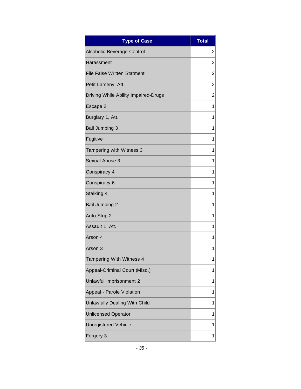| <b>Type of Case</b>                  | <b>Total</b>   |
|--------------------------------------|----------------|
| Alcoholic Beverage Control           | $\overline{2}$ |
| Harassment                           | 2              |
| <b>File False Written Statment</b>   | $\overline{c}$ |
| Petit Larceny, Att.                  | $\overline{2}$ |
| Driving While Ability Impaired-Drugs | 2              |
| Escape 2                             | 1              |
| Burglary 1, Att.                     | 1              |
| <b>Bail Jumping 3</b>                | 1              |
| Fugitive                             | 1              |
| Tampering with Witness 3             | 1              |
| Sexual Abuse 3                       | 1              |
| Conspiracy 4                         | 1              |
| Conspiracy 6                         | 1              |
| Stalking 4                           | 1              |
| <b>Bail Jumping 2</b>                | 1              |
| Auto Strip 2                         | 1              |
| Assault 1, Att.                      | 1              |
| Arson 4                              | 1              |
| Arson 3                              | 1              |
| Tampering With Witness 4             | 1              |
| Appeal-Criminal Court (Misd.)        | 1              |
| Unlawful Imprisonment 2              | 1              |
| Appeal - Parole Violation            | 1              |
| Unlawfully Dealing With Child        | 1              |
| <b>Unlicensed Operator</b>           | 1              |
| <b>Unregistered Vehicle</b>          | 1              |
| Forgery 3                            | 1              |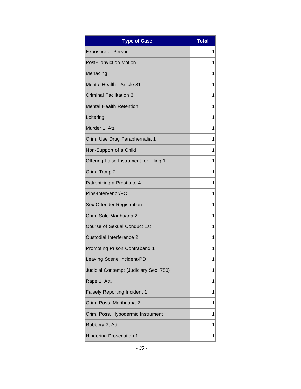| <b>Type of Case</b>                    | <b>Total</b> |
|----------------------------------------|--------------|
| <b>Exposure of Person</b>              | 1            |
| <b>Post-Conviction Motion</b>          | 1            |
| Menacing                               | 1            |
| Mental Health - Article 81             | 1            |
| <b>Criminal Facilitation 3</b>         | 1            |
| <b>Mental Health Retention</b>         | 1            |
| Loitering                              | 1            |
| Murder 1, Att.                         | 1            |
| Crim. Use Drug Paraphernalia 1         | 1            |
| Non-Support of a Child                 | 1            |
| Offering False Instrument for Filing 1 | 1            |
| Crim. Tamp 2                           | 1            |
| Patronizing a Prostitute 4             | 1            |
| Pins-Intervenor/FC                     | 1            |
| Sex Offender Registration              | 1            |
| Crim. Sale Marihuana 2                 | 1            |
| <b>Course of Sexual Conduct 1st</b>    | 1            |
| Custodial Interference 2               | 1            |
| Promoting Prison Contraband 1          | 1            |
| Leaving Scene Incident-PD              | 1            |
| Judicial Contempt (Judiciary Sec. 750) | 1            |
| Rape 1, Att.                           | 1            |
| <b>Falsely Reporting Incident 1</b>    | 1            |
| Crim. Poss. Marihuana 2                | 1            |
| Crim. Poss. Hypodermic Instrument      | 1            |
| Robbery 3, Att.                        | 1            |
| <b>Hindering Prosecution 1</b>         | 1            |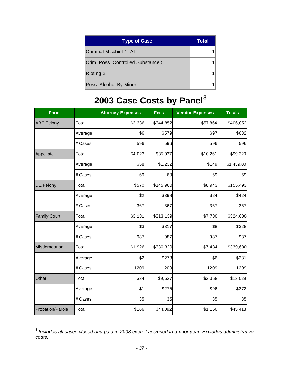| <b>Type of Case</b>                | <b>Total</b> |
|------------------------------------|--------------|
| Criminal Mischief 1, ATT           |              |
| Crim. Poss. Controlled Substance 5 |              |
| <b>Rioting 2</b>                   |              |
| Poss. Alcohol By Minor             |              |

# **2003 Case Costs by Panel<sup>3</sup>**

| <b>Panel</b>        |         | <b>Attorney Expenses</b> | <b>Fees</b> | <b>Vendor Expenses</b> | <b>Totals</b> |
|---------------------|---------|--------------------------|-------------|------------------------|---------------|
| <b>ABC Felony</b>   | Total   | \$3,336                  | \$344,852   | \$57,864               | \$406,052     |
|                     | Average | \$6                      | \$579       | \$97                   | \$682         |
|                     | # Cases | 596                      | 596         | 596                    | 596           |
| Appellate           | Total   | \$4,023                  | \$85,037    | \$10,261               | \$99,320      |
|                     | Average | \$58                     | \$1,232     | \$149                  | \$1,439.00    |
|                     | # Cases | 69                       | 69          | 69                     | 69            |
| <b>DE Felony</b>    | Total   | \$570                    | \$145,980   | \$8,943                | \$155,493     |
|                     | Average | \$2                      | \$398       | \$24                   | \$424         |
|                     | # Cases | 367                      | 367         | 367                    | 367           |
| <b>Family Court</b> | Total   | \$3,131                  | \$313,139   | \$7,730                | \$324,000     |
|                     | Average | \$3                      | \$317       | \$8                    | \$328         |
|                     | # Cases | 987                      | 987         | 987                    | 987           |
| Misdemeanor         | Total   | \$1,926                  | \$330,320   | \$7,434                | \$339,680     |
|                     | Average | \$2                      | \$273       | \$6                    | \$281         |
|                     | # Cases | 1209                     | 1209        | 1209                   | 1209          |
| Other               | Total   | \$34                     | \$9,637     | \$3,358                | \$13,029      |
|                     | Average | \$1                      | \$275       | \$96                   | \$372         |
|                     | # Cases | 35                       | 35          | 35                     | 35            |
| Probation/Parole    | Total   | \$166                    | \$44,092    | \$1,160                | \$45,418      |

<sup>3</sup> *Includes all cases closed and paid in 2003 even if assigned in a prior year. Excludes administrative costs.*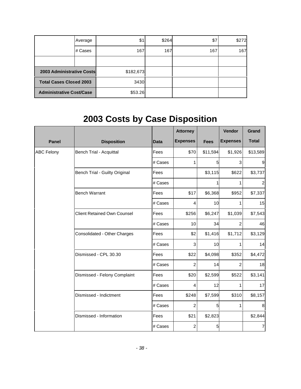|                                  | Average | \$1       | \$264 | \$7 | \$272 |
|----------------------------------|---------|-----------|-------|-----|-------|
|                                  | # Cases | 167       | 167   | 167 | 167   |
|                                  |         |           |       |     |       |
| <b>2003 Administrative Costs</b> |         | \$182,673 |       |     |       |
| <b>Total Cases Closed 2003</b>   |         | 3430      |       |     |       |
| <b>Administrative Cost/Case</b>  |         | \$53.26   |       |     |       |

# **2003 Costs by Case Disposition**

|                   |                                      |             | <b>Attorney</b>  |             | Vendor          | Grand            |
|-------------------|--------------------------------------|-------------|------------------|-------------|-----------------|------------------|
| <b>Panel</b>      | <b>Disposition</b>                   | <b>Data</b> | <b>Expenses</b>  | <b>Fees</b> | <b>Expenses</b> | <b>Total</b>     |
| <b>ABC Felony</b> | <b>Bench Trial - Acquittal</b>       | Fees        | \$70             | \$11,594    | \$1,926         | \$13,589         |
|                   |                                      | # Cases     | 1                | 5           | 3               | $\boldsymbol{9}$ |
|                   | <b>Bench Trial - Guilty Original</b> | Fees        |                  | \$3,115     | \$622           | \$3,737          |
|                   |                                      | # Cases     |                  |             | 1               | $\boldsymbol{2}$ |
|                   | <b>Bench Warrant</b>                 | Fees        | \$17             | \$6,368     | \$952           | \$7,337          |
|                   |                                      | # Cases     | 4                | 10          | 1               | 15               |
|                   | <b>Client Retained Own Counsel</b>   | Fees        | \$256            | \$6,247     | \$1,039         | \$7,543          |
|                   |                                      | # Cases     | 10               | 34          | $\overline{2}$  | 46               |
|                   | Consolidated - Other Charges         | Fees        | \$2              | \$1,416     | \$1,712         | \$3,129          |
|                   |                                      | # Cases     | 3                | 10          | 1               | 14               |
|                   | Dismissed - CPL 30.30                | Fees        | \$22             | \$4,098     | \$352           | \$4,472          |
|                   |                                      | # Cases     | $\overline{2}$   | 14          | 2               | 18               |
|                   | Dismissed - Felony Complaint         | Fees        | \$20             | \$2,599     | \$522           | \$3,141          |
|                   |                                      | # Cases     | $\overline{4}$   | 12          | 1               | 17               |
|                   | Dismissed - Indictment               | Fees        | \$248            | \$7,599     | \$310           | \$8,157          |
|                   |                                      | # Cases     | $\boldsymbol{2}$ | 5           | 1               | 8                |
|                   | Dismissed - Information              | Fees        | \$21             | \$2,823     |                 | \$2,844          |
|                   |                                      | # Cases     | $\boldsymbol{2}$ | 5           |                 | $\overline{7}$   |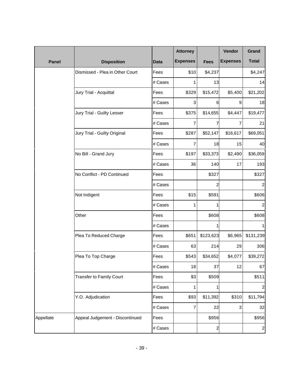|              |                                 |             | <b>Attorney</b>  |                | Vendor          | Grand            |
|--------------|---------------------------------|-------------|------------------|----------------|-----------------|------------------|
| <b>Panel</b> | <b>Disposition</b>              | <b>Data</b> | <b>Expenses</b>  | <b>Fees</b>    | <b>Expenses</b> | <b>Total</b>     |
|              | Dismissed - Plea in Other Court | Fees        | \$10             | \$4,237        |                 | \$4,247          |
|              |                                 | # Cases     | 1                | 13             |                 | 14               |
|              | Jury Trial - Acquittal          | Fees        | \$329            | \$15,472       | \$5,400         | \$21,202         |
|              |                                 | # Cases     | 3                | 6              | 9               | 18               |
|              | Jury Trial - Guilty Lesser      | Fees        | \$375            | \$14,655       | \$4,447         | \$19,477         |
|              |                                 | # Cases     | $\overline{7}$   | 7              | 7               | 21               |
|              | Jury Trial - Guilty Original    | Fees        | \$287            | \$52,147       | \$16,617        | \$69,051         |
|              |                                 | # Cases     | $\overline{7}$   | 18             | 15              | 40               |
|              | No Bill - Grand Jury            | Fees        | \$197            | \$33,373       | \$2,490         | \$36,059         |
|              |                                 | # Cases     | 36               | 140            | 17              | 193              |
|              | No Conflict - PD Continued      | Fees        |                  | \$327          |                 | \$327            |
|              |                                 | # Cases     |                  | 2              |                 | 2                |
|              | Not Indigent                    | Fees        | \$15             | \$591          |                 | \$606            |
|              |                                 | # Cases     | 1                | 1              |                 | 2                |
|              | Other                           | Fees        |                  | \$608          |                 | \$608            |
|              |                                 | # Cases     |                  | 1              |                 | 1                |
|              | Plea To Reduced Charge          | Fees        | \$651            | \$123,623      | \$6,965         | \$131,239        |
|              |                                 | # Cases     | 63               | 214            | 29              | 306              |
|              | Plea To Top Charge              | Fees        | \$543            | \$34,652       | \$4,077         | \$39,272         |
|              |                                 | # Cases     | 18               | 37             | 12              | 67               |
|              | <b>Transfer to Family Court</b> | Fees        | \$3              | \$509          |                 | \$511            |
|              |                                 | # Cases     | 1                | 1              |                 | $\boldsymbol{2}$ |
|              | Y.O. Adjudication               | Fees        | \$93             | \$11,392       | \$310           | \$11,794         |
|              |                                 | # Cases     | $\boldsymbol{7}$ | 22             | 3               | 32               |
| Appellate    | Appeal Judgement - Discontinued | Fees        |                  | \$956          |                 | \$956            |
|              |                                 | # Cases     |                  | $\overline{a}$ |                 | $\mathbf{2}$     |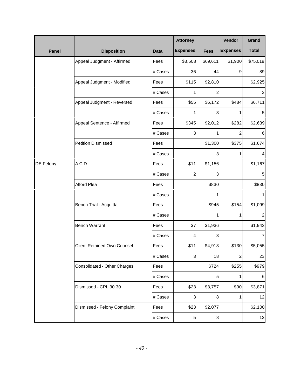|              |                                    |             | <b>Attorney</b> |                 | <b>Vendor</b>   | Grand        |
|--------------|------------------------------------|-------------|-----------------|-----------------|-----------------|--------------|
| <b>Panel</b> | <b>Disposition</b>                 | <b>Data</b> | <b>Expenses</b> | <b>Fees</b>     | <b>Expenses</b> | <b>Total</b> |
|              | Appeal Judgment - Affirmed         | Fees        | \$3,508         | \$69,611        | \$1,900         | \$75,019     |
|              |                                    | # Cases     | 36              | 44              | 9               | 89           |
|              | Appeal Judgment - Modified         | Fees        | \$115           | \$2,810         |                 | \$2,925      |
|              |                                    | # Cases     | 1               | 2               |                 | 3            |
|              | Appeal Judgment - Reversed         | Fees        | \$55            | \$6,172         | \$484           | \$6,711      |
|              |                                    | # Cases     | 1               | 3               | 1               | 5            |
|              | Appeal Sentence - Affirmed         | Fees        | \$345           | \$2,012         | \$282           | \$2,639      |
|              |                                    | # Cases     | 3               | 1               | 2               | 6            |
|              | <b>Petition Dismissed</b>          | Fees        |                 | \$1,300         | \$375           | \$1,674      |
|              |                                    | # Cases     |                 | 3               | 1               | 4            |
| DE Felony    | A.C.D.                             | Fees        | \$11            | \$1,156         |                 | \$1,167      |
|              |                                    | # Cases     | $\overline{c}$  | 3               |                 | 5            |
|              | Alford Plea                        | Fees        |                 | \$830           |                 | \$830        |
|              |                                    | # Cases     |                 | 1               |                 | 1            |
|              | <b>Bench Trial - Acquittal</b>     | Fees        |                 | \$945           | \$154           | \$1,099      |
|              |                                    | # Cases     |                 |                 | 1               | 2            |
|              | <b>Bench Warrant</b>               | Fees        | \$7             | \$1,936         |                 | \$1,943      |
|              |                                    | # Cases     | 4               | 3               |                 | 7            |
|              | <b>Client Retained Own Counsel</b> | Fees        | \$11            | \$4,913         | \$130           | \$5,055      |
|              |                                    | # Cases     | 3               | 18              | 2               | 23           |
|              | Consolidated - Other Charges       | Fees        |                 | \$724           | \$255           | \$979        |
|              |                                    | # Cases     |                 | $5\overline{)}$ | 1               | 6            |
|              | Dismissed - CPL 30.30              | Fees        | \$23            | \$3,757         | \$90            | \$3,871      |
|              |                                    | # Cases     | 3               | 8               | 1               | 12           |
|              | Dismissed - Felony Complaint       | Fees        | \$23            | \$2,077         |                 | \$2,100      |
|              |                                    | # Cases     | 5               | 8               |                 | 13           |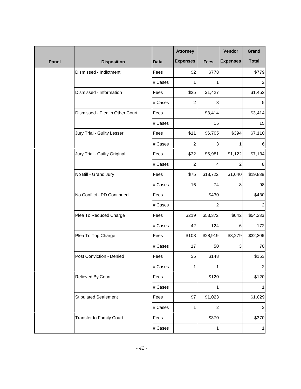|              |                                 |             | <b>Attorney</b> |                | Vendor          | Grand        |
|--------------|---------------------------------|-------------|-----------------|----------------|-----------------|--------------|
| <b>Panel</b> | <b>Disposition</b>              | <b>Data</b> | <b>Expenses</b> | <b>Fees</b>    | <b>Expenses</b> | <b>Total</b> |
|              | Dismissed - Indictment          | Fees        | \$2             | \$778          |                 | \$779        |
|              |                                 | # Cases     | 1               | 1              |                 | 2            |
|              | Dismissed - Information         | Fees        | \$25            | \$1,427        |                 | \$1,452      |
|              |                                 | # Cases     | 2               | 3              |                 | 5            |
|              | Dismissed - Plea in Other Court | Fees        |                 | \$3,414        |                 | \$3,414      |
|              |                                 | # Cases     |                 | 15             |                 | 15           |
|              | Jury Trial - Guilty Lesser      | Fees        | \$11            | \$6,705        | \$394           | \$7,110      |
|              |                                 | # Cases     | $\overline{2}$  | 3              | 1               | 6            |
|              | Jury Trial - Guilty Original    | Fees        | \$32            | \$5,981        | \$1,122         | \$7,134      |
|              |                                 | # Cases     | 2               | 4              | 2               | 8            |
|              | No Bill - Grand Jury            | Fees        | \$75            | \$18,722       | \$1,040         | \$19,838     |
|              |                                 | # Cases     | 16              | 74             | 8               | 98           |
|              | No Conflict - PD Continued      | Fees        |                 | \$430          |                 | \$430        |
|              |                                 | # Cases     |                 | 2              |                 | 2            |
|              | Plea To Reduced Charge          | Fees        | \$219           | \$53,372       | \$642           | \$54,233     |
|              |                                 | # Cases     | 42              | 124            | 6               | 172          |
|              | Plea To Top Charge              | Fees        | \$108           | \$28,919       | \$3,279         | \$32,306     |
|              |                                 | # Cases     | 17              | 50             | 3               | 70           |
|              | Post Conviction - Denied        | Fees        | \$5             | \$148          |                 | \$153        |
|              |                                 | # Cases     | 1               |                |                 | $\mathbf{2}$ |
|              | Relieved By Court               | Fees        |                 | \$120          |                 | \$120        |
|              |                                 | # Cases     |                 | 1              |                 | 1            |
|              | <b>Stipulated Settlement</b>    | Fees        | \$7             | \$1,023        |                 | \$1,029      |
|              |                                 | # Cases     | 1               | $\overline{2}$ |                 | $\mathbf{3}$ |
|              | Transfer to Family Court        | Fees        |                 | \$370          |                 | \$370        |
|              |                                 | # Cases     |                 | 1              |                 | 1            |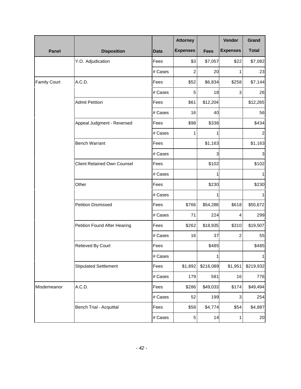|                     |                                    |             | <b>Attorney</b> |                         | Vendor          | Grand          |
|---------------------|------------------------------------|-------------|-----------------|-------------------------|-----------------|----------------|
| <b>Panel</b>        | <b>Disposition</b>                 | <b>Data</b> | <b>Expenses</b> | <b>Fees</b>             | <b>Expenses</b> | <b>Total</b>   |
|                     | Y.O. Adjudication                  | Fees        | \$3             | \$7,057                 | \$22            | \$7,082        |
|                     |                                    | # Cases     | $\overline{c}$  | 20                      | 1               | 23             |
| <b>Family Court</b> | A.C.D.                             | Fees        | \$52            | \$6,834                 | \$258           | \$7,144        |
|                     |                                    | # Cases     | 5               | 18                      | 3               | 26             |
|                     | <b>Admit Petition</b>              | Fees        | \$61            | \$12,204                |                 | \$12,265       |
|                     |                                    | # Cases     | 16              | 40                      |                 | 56             |
|                     | Appeal Judgment - Reversed         | Fees        | \$98            | \$336                   |                 | \$434          |
|                     |                                    | # Cases     | 1               |                         |                 | $\overline{c}$ |
|                     | <b>Bench Warrant</b>               | Fees        |                 | \$1,163                 |                 | \$1,163        |
|                     |                                    | # Cases     |                 | $\overline{\mathbf{3}}$ |                 | 3              |
|                     | <b>Client Retained Own Counsel</b> | Fees        |                 | \$102                   |                 | \$102          |
|                     |                                    | # Cases     |                 | 1                       |                 | 1              |
|                     | Other                              | Fees        |                 | \$230                   |                 | \$230          |
|                     |                                    | # Cases     |                 | 1                       |                 | 1              |
|                     | <b>Petition Dismissed</b>          | Fees        | \$766           | \$54,288                | \$618           | \$55,672       |
|                     |                                    | # Cases     | 71              | 224                     | 4               | 299            |
|                     | Petition Found After Hearing       | Fees        | \$262           | \$18,935                | \$310           | \$19,507       |
|                     |                                    | # Cases     | 16              | 37                      | $\overline{c}$  | 55             |
|                     | Relieved By Court                  | Fees        |                 | \$485                   |                 | \$485          |
|                     |                                    | # Cases     |                 | 1                       |                 | $\mathbf{1}$   |
|                     | <b>Stipulated Settlement</b>       | Fees        | \$1,892         | \$216,089               | \$1,951         | \$219,932      |
|                     |                                    | # Cases     | 179             | 581                     | 16              | 776            |
| Misdemeanor         | A.C.D.                             | Fees        | \$286           | \$49,033                | \$174           | \$49,494       |
|                     |                                    | # Cases     | 52              | 199                     | 3               | 254            |
|                     | <b>Bench Trial - Acquittal</b>     | Fees        | \$58            | \$4,774                 | \$54            | \$4,887        |
|                     |                                    | # Cases     | 5               | 14                      | 1               | 20             |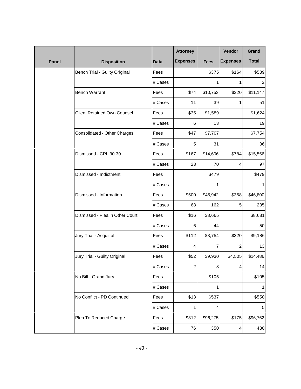|              |                                    |             | <b>Attorney</b> |             | Vendor          | Grand          |
|--------------|------------------------------------|-------------|-----------------|-------------|-----------------|----------------|
| <b>Panel</b> | <b>Disposition</b>                 | <b>Data</b> | <b>Expenses</b> | <b>Fees</b> | <b>Expenses</b> | <b>Total</b>   |
|              | Bench Trial - Guilty Original      | Fees        |                 | \$375       | \$164           | \$539          |
|              |                                    | # Cases     |                 | 1           | 1               | $\overline{c}$ |
|              | <b>Bench Warrant</b>               | Fees        | \$74            | \$10,753    | \$320           | \$11,147       |
|              |                                    | # Cases     | 11              | 39          | 1               | 51             |
|              | <b>Client Retained Own Counsel</b> | Fees        | \$35            | \$1,589     |                 | \$1,624        |
|              |                                    | # Cases     | 6               | 13          |                 | 19             |
|              | Consolidated - Other Charges       | Fees        | \$47            | \$7,707     |                 | \$7,754        |
|              |                                    | # Cases     | 5               | 31          |                 | 36             |
|              | Dismissed - CPL 30.30              | Fees        | \$167           | \$14,606    | \$784           | \$15,556       |
|              |                                    | # Cases     | 23              | 70          | 4               | 97             |
|              | Dismissed - Indictment             | Fees        |                 | \$479       |                 | \$479          |
|              |                                    | # Cases     |                 | 1           |                 | 1              |
|              | Dismissed - Information            | Fees        | \$500           | \$45,942    | \$358           | \$46,800       |
|              |                                    | # Cases     | 68              | 162         | 5               | 235            |
|              | Dismissed - Plea in Other Court    | Fees        | \$16            | \$8,665     |                 | \$8,681        |
|              |                                    | # Cases     | 6               | 44          |                 | 50             |
|              | Jury Trial - Acquittal             | Fees        | \$112           | \$8,754     | \$320           | \$9,186        |
|              |                                    | # Cases     | 4               | 7           | 2               | 13             |
|              | Jury Trial - Guilty Original       | Fees        | \$52            | \$9,930     | \$4,505         | \$14,486       |
|              |                                    | $\#$ Cases  | 2               | ୪           | 4               | 14             |
|              | No Bill - Grand Jury               | Fees        |                 | \$105       |                 | \$105          |
|              |                                    | # Cases     |                 | 1           |                 | 1              |
|              | No Conflict - PD Continued         | Fees        | \$13            | \$537       |                 | \$550          |
|              |                                    | # Cases     | 1               | 4           |                 | 5              |
|              | Plea To Reduced Charge             | Fees        | \$312           | \$96,275    | \$175           | \$96,762       |
|              |                                    | # Cases     | 76              | 350         | 4               | 430            |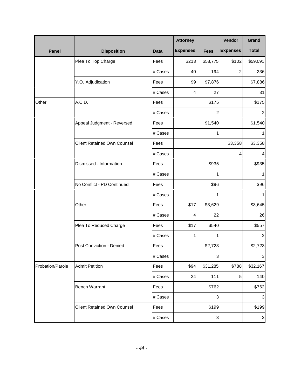|                  |                                    |             | <b>Attorney</b> |                         | Vendor          | Grand                     |
|------------------|------------------------------------|-------------|-----------------|-------------------------|-----------------|---------------------------|
| <b>Panel</b>     | <b>Disposition</b>                 | <b>Data</b> | <b>Expenses</b> | <b>Fees</b>             | <b>Expenses</b> | <b>Total</b>              |
|                  | Plea To Top Charge                 | Fees        | \$213           | \$58,775                | \$102           | \$59,091                  |
|                  |                                    | # Cases     | 40              | 194                     | $\overline{c}$  | 236                       |
|                  | Y.O. Adjudication                  | Fees        | \$9             | \$7,876                 |                 | \$7,886                   |
|                  |                                    | # Cases     | 4               | 27                      |                 | 31                        |
| Other            | A.C.D.                             | Fees        |                 | \$175                   |                 | \$175                     |
|                  |                                    | # Cases     |                 | $\overline{a}$          |                 | $\overline{c}$            |
|                  | Appeal Judgment - Reversed         | Fees        |                 | \$1,540                 |                 | \$1,540                   |
|                  |                                    | # Cases     |                 | 1                       |                 | 1                         |
|                  | <b>Client Retained Own Counsel</b> | Fees        |                 |                         | \$3,358         | \$3,358                   |
|                  |                                    | # Cases     |                 |                         | 4               | 4                         |
|                  | Dismissed - Information            | Fees        |                 | \$935                   |                 | \$935                     |
|                  |                                    | # Cases     |                 | 1                       |                 | 1                         |
|                  | No Conflict - PD Continued         | Fees        |                 | \$96                    |                 | \$96                      |
|                  |                                    | # Cases     |                 | 1                       |                 | 1                         |
|                  | Other                              | Fees        | \$17            | \$3,629                 |                 | \$3,645                   |
|                  |                                    | # Cases     | 4               | 22                      |                 | 26                        |
|                  | Plea To Reduced Charge             | Fees        | \$17            | \$540                   |                 | \$557                     |
|                  |                                    | # Cases     | 1               | 1                       |                 | $\overline{2}$            |
|                  | Post Conviction - Denied           | Fees        |                 | \$2,723                 |                 | \$2,723                   |
|                  |                                    | # Cases     |                 | 3                       |                 | $\mathbf{3}$              |
| Probation/Parole | <b>Admit Petition</b>              | Fees        | \$94            | \$31,285                | \$788           | \$32,167                  |
|                  |                                    | # Cases     | 24              | $111$                   | 5               | 140                       |
|                  | <b>Bench Warrant</b>               | Fees        |                 | \$762                   |                 | \$762                     |
|                  |                                    | # Cases     |                 | 3                       |                 | $\sqrt{3}$                |
|                  | <b>Client Retained Own Counsel</b> | Fees        |                 | \$199                   |                 | \$199                     |
|                  |                                    | # Cases     |                 | $\overline{\mathbf{3}}$ |                 | $\ensuremath{\mathsf{3}}$ |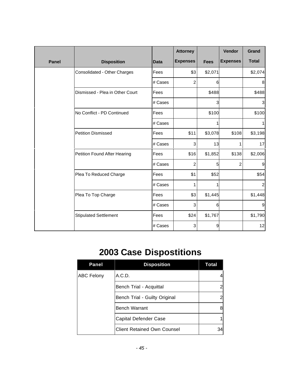|              |                                 |             | <b>Attorney</b> |             | Vendor          | Grand          |
|--------------|---------------------------------|-------------|-----------------|-------------|-----------------|----------------|
| <b>Panel</b> | <b>Disposition</b>              | <b>Data</b> | <b>Expenses</b> | <b>Fees</b> | <b>Expenses</b> | <b>Total</b>   |
|              | Consolidated - Other Charges    | Fees        | \$3             | \$2,071     |                 | \$2,074        |
|              |                                 | # Cases     | $\overline{c}$  | 6           |                 | 8              |
|              | Dismissed - Plea in Other Court | Fees        |                 | \$488       |                 | \$488          |
|              |                                 | # Cases     |                 | 3           |                 | 3              |
|              | No Conflict - PD Continued      | Fees        |                 | \$100       |                 | \$100          |
|              |                                 | # Cases     |                 |             |                 |                |
|              | <b>Petition Dismissed</b>       | Fees        | \$11            | \$3,078     | \$108           | \$3,198        |
|              |                                 | # Cases     | 3               | 13          | 1               | 17             |
|              | Petition Found After Hearing    | Fees        | \$16            | \$1,852     | \$138           | \$2,006        |
|              |                                 | # Cases     | $\overline{c}$  | 5           | $\overline{2}$  | 9              |
|              | Plea To Reduced Charge          | Fees        | \$1             | \$52        |                 | \$54           |
|              |                                 | # Cases     | 1               |             |                 | $\overline{c}$ |
|              | Plea To Top Charge              | Fees        | \$3             | \$1,445     |                 | \$1,448        |
|              |                                 | # Cases     | 3               | 6           |                 | 9              |
|              | <b>Stipulated Settlement</b>    | Fees        | \$24            | \$1,767     |                 | \$1,790        |
|              |                                 | # Cases     | 3               | 9           |                 | 12             |

## **2003 Case Dispostitions**

| Panel                   | <b>Disposition</b>                 | Total |
|-------------------------|------------------------------------|-------|
| <b>ABC Felony</b>       | A.C.D.                             |       |
| Bench Trial - Acquittal |                                    |       |
|                         | Bench Trial - Guilty Original      |       |
|                         | <b>Bench Warrant</b>               | 8     |
|                         | Capital Defender Case              |       |
|                         | <b>Client Retained Own Counsel</b> | 34    |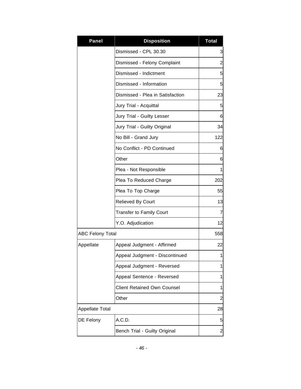| <b>Panel</b>            | <b>Disposition</b>                 | <b>Total</b>   |
|-------------------------|------------------------------------|----------------|
|                         | Dismissed - CPL 30.30              | 3              |
|                         | Dismissed - Felony Complaint       | $\overline{2}$ |
|                         | Dismissed - Indictment             | 5              |
|                         | Dismissed - Information            | 5              |
|                         | Dismissed - Plea in Satisfaction   | 23             |
|                         | Jury Trial - Acquittal             | 5              |
|                         | Jury Trial - Guilty Lesser         | 6              |
|                         | Jury Trial - Guilty Original       | 34             |
|                         | No Bill - Grand Jury               | 122            |
|                         | No Conflict - PD Continued         | 6              |
|                         | Other                              | 6              |
|                         | Plea - Not Responsible             | 1              |
|                         | Plea To Reduced Charge             | 202            |
|                         | Plea To Top Charge                 | 55             |
|                         | <b>Relieved By Court</b>           | 13             |
|                         | <b>Transfer to Family Court</b>    | 7              |
|                         | Y.O. Adjudication                  | 12             |
| <b>ABC Felony Total</b> |                                    | 558            |
| Appellate               | Appeal Judgment - Affirmed         | 22             |
|                         | Appeal Judgment - Discontinued     | 1              |
|                         | Appeal Judgment - Reversed         | 1              |
|                         | Appeal Sentence - Reversed         | 1              |
|                         | <b>Client Retained Own Counsel</b> | 1              |
|                         | Other                              | 2              |
| Appellate Total         |                                    | 28             |
| DE Felony               | A.C.D.                             | 5              |
|                         | Bench Trial - Guilty Original      | 2              |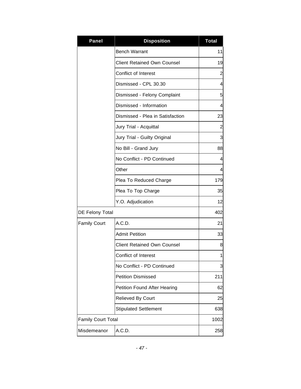| <b>Panel</b>              | <b>Disposition</b>                  | <b>Total</b> |
|---------------------------|-------------------------------------|--------------|
|                           | <b>Bench Warrant</b>                | 11           |
|                           | <b>Client Retained Own Counsel</b>  | 19           |
|                           | Conflict of Interest                | 2            |
|                           | Dismissed - CPL 30.30               | 4            |
|                           | Dismissed - Felony Complaint        | 5            |
|                           | Dismissed - Information             | 4            |
|                           | Dismissed - Plea in Satisfaction    | 23           |
|                           | Jury Trial - Acquittal              | 2            |
|                           | Jury Trial - Guilty Original        | 3            |
|                           | No Bill - Grand Jury                | 88           |
|                           | No Conflict - PD Continued          | 4            |
|                           | Other                               | 4            |
|                           | Plea To Reduced Charge              | 179          |
|                           | Plea To Top Charge                  | 35           |
|                           | Y.O. Adjudication                   | 12           |
| DE Felony Total           |                                     | 402          |
| <b>Family Court</b>       | A.C.D.                              | 21           |
|                           | <b>Admit Petition</b>               | 33           |
|                           | Client Retained Own Counsel         | 8            |
|                           | Conflict of Interest                | 1            |
|                           | No Conflict - PD Continued          | 3            |
|                           | <b>Petition Dismissed</b>           | 211          |
|                           | <b>Petition Found After Hearing</b> | 62           |
|                           | <b>Relieved By Court</b>            | 25           |
|                           | <b>Stipulated Settlement</b>        | 638          |
| <b>Family Court Total</b> |                                     | 1002         |
| Misdemeanor               | A.C.D.                              | 258          |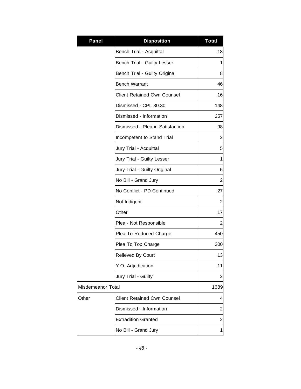| <b>Panel</b>      | <b>Disposition</b>                 | <b>Total</b>   |
|-------------------|------------------------------------|----------------|
|                   | Bench Trial - Acquittal            | 18             |
|                   | Bench Trial - Guilty Lesser        | 1              |
|                   | Bench Trial - Guilty Original      | 8              |
|                   | <b>Bench Warrant</b>               | 46             |
|                   | <b>Client Retained Own Counsel</b> | 16             |
|                   | Dismissed - CPL 30.30              | 148            |
|                   | Dismissed - Information            | 257            |
|                   | Dismissed - Plea in Satisfaction   | 98             |
|                   | Incompetent to Stand Trial         | $\overline{2}$ |
|                   | Jury Trial - Acquittal             | 5              |
|                   | Jury Trial - Guilty Lesser         | $\mathbf 1$    |
|                   | Jury Trial - Guilty Original       | 5              |
|                   | No Bill - Grand Jury               | $\overline{a}$ |
|                   | No Conflict - PD Continued         | 27             |
|                   | Not Indigent                       | $\overline{2}$ |
|                   | Other                              | 17             |
|                   | Plea - Not Responsible             | $\overline{2}$ |
|                   | Plea To Reduced Charge             | 450            |
|                   | Plea To Top Charge                 | 300            |
|                   | Relieved By Court                  | 13             |
|                   | Y.O. Adjudication                  | 11             |
|                   | Jury Trial - Guilty                | 2              |
| Misdemeanor Total |                                    | 1689           |
| Other             | <b>Client Retained Own Counsel</b> | 4              |
|                   | Dismissed - Information            | $\overline{c}$ |
|                   | <b>Extradition Granted</b>         | 2              |
|                   | No Bill - Grand Jury               | $\mathbf 1$    |